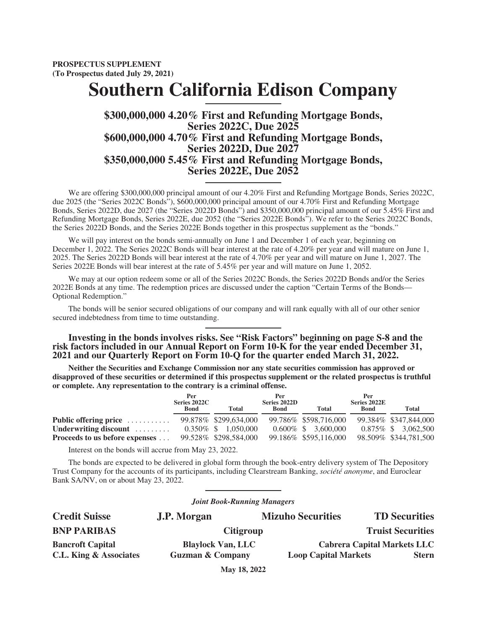**PROSPECTUS SUPPLEMENT (To Prospectus dated July 29, 2021)**

# **Southern California Edison Company**

# **\$300,000,000 4.20% First and Refunding Mortgage Bonds, Series 2022C, Due 2025 \$600,000,000 4.70% First and Refunding Mortgage Bonds, Series 2022D, Due 2027 \$350,000,000 5.45% First and Refunding Mortgage Bonds, Series 2022E, Due 2052**

We are offering \$300,000,000 principal amount of our 4.20% First and Refunding Mortgage Bonds, Series 2022C, due 2025 (the "Series 2022C Bonds"), \$600,000,000 principal amount of our 4.70% First and Refunding Mortgage Bonds, Series 2022D, due 2027 (the "Series 2022D Bonds") and \$350,000,000 principal amount of our 5.45% First and Refunding Mortgage Bonds, Series 2022E, due 2052 (the "Series 2022E Bonds"). We refer to the Series 2022C Bonds, the Series 2022D Bonds, and the Series 2022E Bonds together in this prospectus supplement as the "bonds."

We will pay interest on the bonds semi-annually on June 1 and December 1 of each year, beginning on December 1, 2022. The Series 2022C Bonds will bear interest at the rate of 4.20% per year and will mature on June 1, 2025. The Series 2022D Bonds will bear interest at the rate of 4.70% per year and will mature on June 1, 2027. The Series 2022E Bonds will bear interest at the rate of 5.45% per year and will mature on June 1, 2052.

We may at our option redeem some or all of the Series 2022C Bonds, the Series 2022D Bonds and/or the Series 2022E Bonds at any time. The redemption prices are discussed under the caption "Certain Terms of the Bonds— Optional Redemption."

The bonds will be senior secured obligations of our company and will rank equally with all of our other senior secured indebtedness from time to time outstanding.

**Investing in the bonds involves risks. See ["Risk Factors](#page-9-0)" beginning on page S-8 and the risk factors included in our Annual Report on [Form 10-K](https://www.sec.gov/ix?doc=/Archives/edgar/data/92103/000082705222000006/eix-20211231x10k.htm) for the year ended December 31, 2021 and our Quarterly Report on [Form 10-Q](https://www.sec.gov/ix?doc=/Archives/edgar/data/92103/000082705222000031/eix-20220331x10q.htm) for the quarter ended March 31, 2022.**

**Neither the Securities and Exchange Commission nor any state securities commission has approved or disapproved of these securities or determined if this prospectus supplement or the related prospectus is truthful or complete. Any representation to the contrary is a criminal offense.**

|                                    | Per<br>Series 2022C<br><b>Bond</b> | Total                  | Per<br>Series 2022D<br><b>Bond</b> | <b>Total</b>           | Per<br>Series 2022E<br><b>Bond</b> | <b>Total</b>          |
|------------------------------------|------------------------------------|------------------------|------------------------------------|------------------------|------------------------------------|-----------------------|
| Public offering price              |                                    | 99.878% \$299,634,000  |                                    | 99.786\% \$598.716.000 |                                    | 99.384% \$347,844,000 |
| Underwriting discount $\dots\dots$ | $0.350\%$ \$                       | 1.050.000              |                                    | $0.600\%$ \$ 3.600,000 | $0.875\%$ \$                       | 3.062.500             |
| Proceeds to us before expenses     |                                    | 99.528\% \$298.584,000 |                                    | 99.186% \$595,116,000  |                                    | 98.509% \$344,781,500 |

Interest on the bonds will accrue from May 23, 2022.

The bonds are expected to be delivered in global form through the book-entry delivery system of The Depository Trust Company for the accounts of its participants, including Clearstream Banking, *société anonyme*, and Euroclear Bank SA/NV, on or about May 23, 2022.

**Credit Suisse J.P. Morgan Mizuho Securities TD Securities BNP PARIBAS** Citigroup Citigroup Truist Securities **Bancroft Capital Capital Blaylock Van, LLC Cabrera Capital Markets LLC C.L. King & Associates Guzman & Company Loop Capital Markets Stern May 18, 2022**

*Joint Book-Running Managers*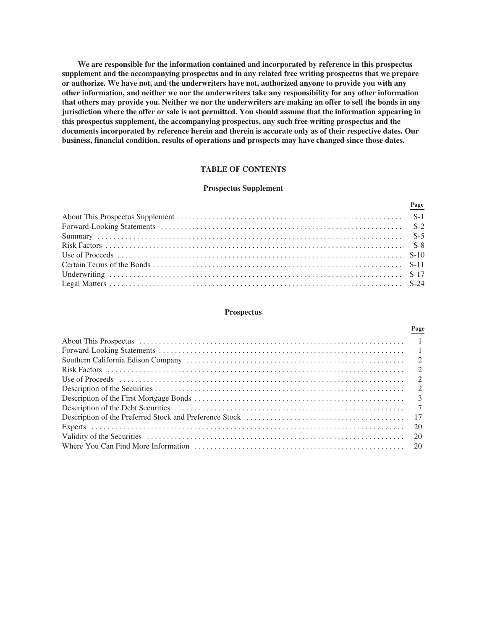**We are responsible for the information contained and incorporated by reference in this prospectus supplement and the accompanying prospectus and in any related free writing prospectus that we prepare or authorize. We have not, and the underwriters have not, authorized anyone to provide you with any other information, and neither we nor the underwriters take any responsibility for any other information that others may provide you. Neither we nor the underwriters are making an offer to sell the bonds in any jurisdiction where the offer or sale is not permitted. You should assume that the information appearing in this prospectus supplement, the accompanying prospectus, any such free writing prospectus and the documents incorporated by reference herein and therein is accurate only as of their respective dates. Our business, financial condition, results of operations and prospects may have changed since those dates.**

# **TABLE OF CONTENTS**

# **Prospectus Supplement**

**Page**

#### **Prospectus**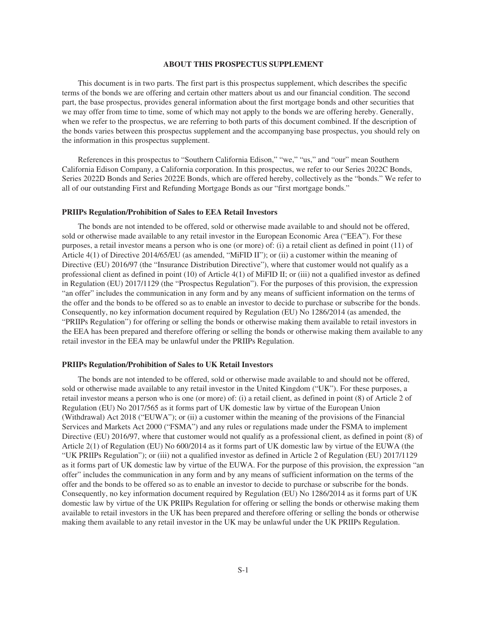# **ABOUT THIS PROSPECTUS SUPPLEMENT**

<span id="page-2-0"></span>This document is in two parts. The first part is this prospectus supplement, which describes the specific terms of the bonds we are offering and certain other matters about us and our financial condition. The second part, the base prospectus, provides general information about the first mortgage bonds and other securities that we may offer from time to time, some of which may not apply to the bonds we are offering hereby. Generally, when we refer to the prospectus, we are referring to both parts of this document combined. If the description of the bonds varies between this prospectus supplement and the accompanying base prospectus, you should rely on the information in this prospectus supplement.

References in this prospectus to "Southern California Edison," "we," "us," and "our" mean Southern California Edison Company, a California corporation. In this prospectus, we refer to our Series 2022C Bonds, Series 2022D Bonds and Series 2022E Bonds, which are offered hereby, collectively as the "bonds." We refer to all of our outstanding First and Refunding Mortgage Bonds as our "first mortgage bonds."

#### **PRIIPs Regulation/Prohibition of Sales to EEA Retail Investors**

The bonds are not intended to be offered, sold or otherwise made available to and should not be offered, sold or otherwise made available to any retail investor in the European Economic Area ("EEA"). For these purposes, a retail investor means a person who is one (or more) of: (i) a retail client as defined in point (11) of Article 4(1) of Directive 2014/65/EU (as amended, "MiFID II"); or (ii) a customer within the meaning of Directive (EU) 2016/97 (the "Insurance Distribution Directive"), where that customer would not qualify as a professional client as defined in point (10) of Article 4(1) of MiFID II; or (iii) not a qualified investor as defined in Regulation (EU) 2017/1129 (the "Prospectus Regulation"). For the purposes of this provision, the expression "an offer" includes the communication in any form and by any means of sufficient information on the terms of the offer and the bonds to be offered so as to enable an investor to decide to purchase or subscribe for the bonds. Consequently, no key information document required by Regulation (EU) No 1286/2014 (as amended, the "PRIIPs Regulation") for offering or selling the bonds or otherwise making them available to retail investors in the EEA has been prepared and therefore offering or selling the bonds or otherwise making them available to any retail investor in the EEA may be unlawful under the PRIIPs Regulation.

#### **PRIIPs Regulation/Prohibition of Sales to UK Retail Investors**

The bonds are not intended to be offered, sold or otherwise made available to and should not be offered, sold or otherwise made available to any retail investor in the United Kingdom ("UK"). For these purposes, a retail investor means a person who is one (or more) of: (i) a retail client, as defined in point (8) of Article 2 of Regulation (EU) No 2017/565 as it forms part of UK domestic law by virtue of the European Union (Withdrawal) Act 2018 ("EUWA"); or (ii) a customer within the meaning of the provisions of the Financial Services and Markets Act 2000 ("FSMA") and any rules or regulations made under the FSMA to implement Directive (EU) 2016/97, where that customer would not qualify as a professional client, as defined in point (8) of Article 2(1) of Regulation (EU) No 600/2014 as it forms part of UK domestic law by virtue of the EUWA (the "UK PRIIPs Regulation"); or (iii) not a qualified investor as defined in Article 2 of Regulation (EU) 2017/1129 as it forms part of UK domestic law by virtue of the EUWA. For the purpose of this provision, the expression "an offer" includes the communication in any form and by any means of sufficient information on the terms of the offer and the bonds to be offered so as to enable an investor to decide to purchase or subscribe for the bonds. Consequently, no key information document required by Regulation (EU) No 1286/2014 as it forms part of UK domestic law by virtue of the UK PRIIPs Regulation for offering or selling the bonds or otherwise making them available to retail investors in the UK has been prepared and therefore offering or selling the bonds or otherwise making them available to any retail investor in the UK may be unlawful under the UK PRIIPs Regulation.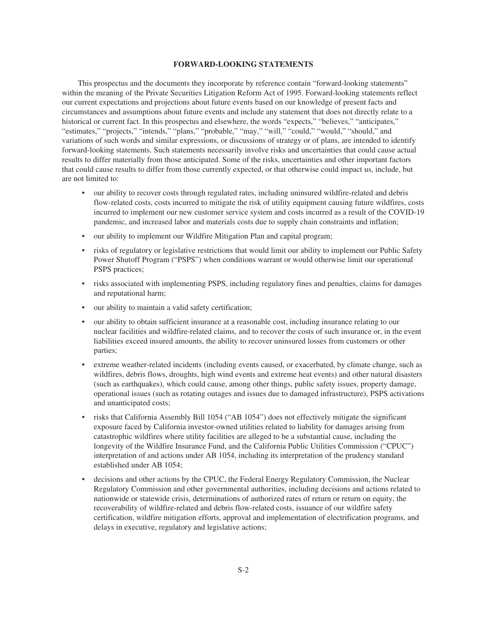# **FORWARD-LOOKING STATEMENTS**

<span id="page-3-0"></span>This prospectus and the documents they incorporate by reference contain "forward-looking statements" within the meaning of the Private Securities Litigation Reform Act of 1995. Forward-looking statements reflect our current expectations and projections about future events based on our knowledge of present facts and circumstances and assumptions about future events and include any statement that does not directly relate to a historical or current fact. In this prospectus and elsewhere, the words "expects," "believes," "anticipates," "estimates," "projects," "intends," "plans," "probable," "may," "will," "could," "would," "should," and variations of such words and similar expressions, or discussions of strategy or of plans, are intended to identify forward-looking statements. Such statements necessarily involve risks and uncertainties that could cause actual results to differ materially from those anticipated. Some of the risks, uncertainties and other important factors that could cause results to differ from those currently expected, or that otherwise could impact us, include, but are not limited to:

- our ability to recover costs through regulated rates, including uninsured wildfire-related and debris flow-related costs, costs incurred to mitigate the risk of utility equipment causing future wildfires, costs incurred to implement our new customer service system and costs incurred as a result of the COVID-19 pandemic, and increased labor and materials costs due to supply chain constraints and inflation;
- our ability to implement our Wildfire Mitigation Plan and capital program;
- risks of regulatory or legislative restrictions that would limit our ability to implement our Public Safety Power Shutoff Program ("PSPS") when conditions warrant or would otherwise limit our operational PSPS practices;
- risks associated with implementing PSPS, including regulatory fines and penalties, claims for damages and reputational harm;
- our ability to maintain a valid safety certification;
- our ability to obtain sufficient insurance at a reasonable cost, including insurance relating to our nuclear facilities and wildfire-related claims, and to recover the costs of such insurance or, in the event liabilities exceed insured amounts, the ability to recover uninsured losses from customers or other parties;
- extreme weather-related incidents (including events caused, or exacerbated, by climate change, such as wildfires, debris flows, droughts, high wind events and extreme heat events) and other natural disasters (such as earthquakes), which could cause, among other things, public safety issues, property damage, operational issues (such as rotating outages and issues due to damaged infrastructure), PSPS activations and unanticipated costs;
- risks that California Assembly Bill 1054 ("AB 1054") does not effectively mitigate the significant exposure faced by California investor-owned utilities related to liability for damages arising from catastrophic wildfires where utility facilities are alleged to be a substantial cause, including the longevity of the Wildfire Insurance Fund, and the California Public Utilities Commission ("CPUC") interpretation of and actions under AB 1054, including its interpretation of the prudency standard established under AB 1054;
- decisions and other actions by the CPUC, the Federal Energy Regulatory Commission, the Nuclear Regulatory Commission and other governmental authorities, including decisions and actions related to nationwide or statewide crisis, determinations of authorized rates of return or return on equity, the recoverability of wildfire-related and debris flow-related costs, issuance of our wildfire safety certification, wildfire mitigation efforts, approval and implementation of electrification programs, and delays in executive, regulatory and legislative actions;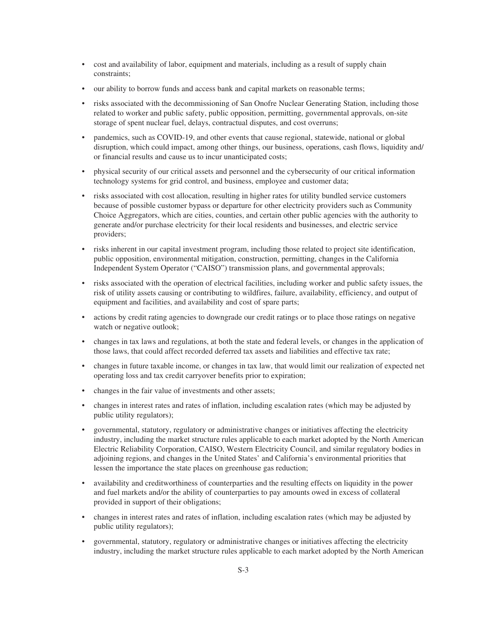- cost and availability of labor, equipment and materials, including as a result of supply chain constraints;
- our ability to borrow funds and access bank and capital markets on reasonable terms;
- risks associated with the decommissioning of San Onofre Nuclear Generating Station, including those related to worker and public safety, public opposition, permitting, governmental approvals, on-site storage of spent nuclear fuel, delays, contractual disputes, and cost overruns;
- pandemics, such as COVID-19, and other events that cause regional, statewide, national or global disruption, which could impact, among other things, our business, operations, cash flows, liquidity and/ or financial results and cause us to incur unanticipated costs;
- physical security of our critical assets and personnel and the cybersecurity of our critical information technology systems for grid control, and business, employee and customer data;
- risks associated with cost allocation, resulting in higher rates for utility bundled service customers because of possible customer bypass or departure for other electricity providers such as Community Choice Aggregators, which are cities, counties, and certain other public agencies with the authority to generate and/or purchase electricity for their local residents and businesses, and electric service providers;
- risks inherent in our capital investment program, including those related to project site identification, public opposition, environmental mitigation, construction, permitting, changes in the California Independent System Operator ("CAISO") transmission plans, and governmental approvals;
- risks associated with the operation of electrical facilities, including worker and public safety issues, the risk of utility assets causing or contributing to wildfires, failure, availability, efficiency, and output of equipment and facilities, and availability and cost of spare parts;
- actions by credit rating agencies to downgrade our credit ratings or to place those ratings on negative watch or negative outlook;
- changes in tax laws and regulations, at both the state and federal levels, or changes in the application of those laws, that could affect recorded deferred tax assets and liabilities and effective tax rate;
- changes in future taxable income, or changes in tax law, that would limit our realization of expected net operating loss and tax credit carryover benefits prior to expiration;
- changes in the fair value of investments and other assets;
- changes in interest rates and rates of inflation, including escalation rates (which may be adjusted by public utility regulators);
- governmental, statutory, regulatory or administrative changes or initiatives affecting the electricity industry, including the market structure rules applicable to each market adopted by the North American Electric Reliability Corporation, CAISO, Western Electricity Council, and similar regulatory bodies in adjoining regions, and changes in the United States' and California's environmental priorities that lessen the importance the state places on greenhouse gas reduction;
- availability and creditworthiness of counterparties and the resulting effects on liquidity in the power and fuel markets and/or the ability of counterparties to pay amounts owed in excess of collateral provided in support of their obligations;
- changes in interest rates and rates of inflation, including escalation rates (which may be adjusted by public utility regulators);
- governmental, statutory, regulatory or administrative changes or initiatives affecting the electricity industry, including the market structure rules applicable to each market adopted by the North American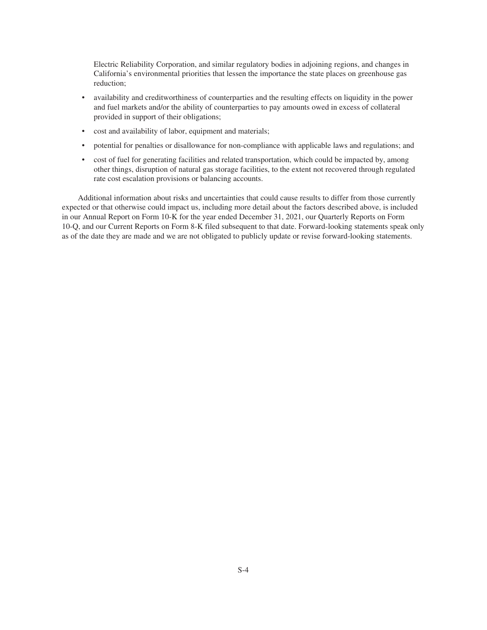Electric Reliability Corporation, and similar regulatory bodies in adjoining regions, and changes in California's environmental priorities that lessen the importance the state places on greenhouse gas reduction;

- availability and creditworthiness of counterparties and the resulting effects on liquidity in the power and fuel markets and/or the ability of counterparties to pay amounts owed in excess of collateral provided in support of their obligations;
- cost and availability of labor, equipment and materials;
- potential for penalties or disallowance for non-compliance with applicable laws and regulations; and
- cost of fuel for generating facilities and related transportation, which could be impacted by, among other things, disruption of natural gas storage facilities, to the extent not recovered through regulated rate cost escalation provisions or balancing accounts.

Additional information about risks and uncertainties that could cause results to differ from those currently expected or that otherwise could impact us, including more detail about the factors described above, is included in our Annual Report on Form 10-K for the year ended December 31, 2021, our Quarterly Reports on Form 10-Q, and our Current Reports on Form 8-K filed subsequent to that date. Forward-looking statements speak only as of the date they are made and we are not obligated to publicly update or revise forward-looking statements.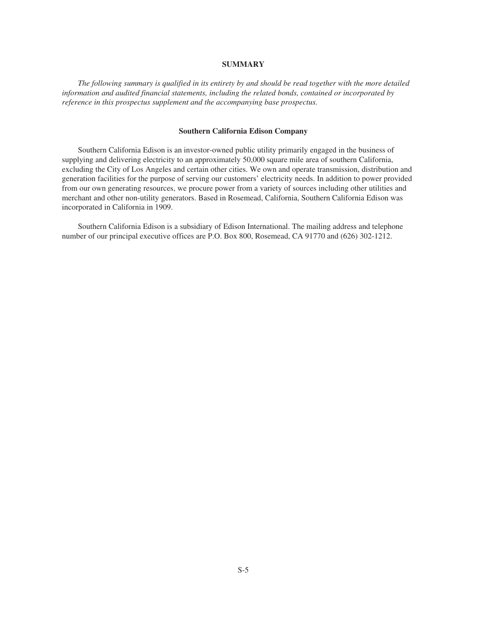# **SUMMARY**

<span id="page-6-0"></span>*The following summary is qualified in its entirety by and should be read together with the more detailed information and audited financial statements, including the related bonds, contained or incorporated by reference in this prospectus supplement and the accompanying base prospectus.*

# **Southern California Edison Company**

Southern California Edison is an investor-owned public utility primarily engaged in the business of supplying and delivering electricity to an approximately 50,000 square mile area of southern California, excluding the City of Los Angeles and certain other cities. We own and operate transmission, distribution and generation facilities for the purpose of serving our customers' electricity needs. In addition to power provided from our own generating resources, we procure power from a variety of sources including other utilities and merchant and other non-utility generators. Based in Rosemead, California, Southern California Edison was incorporated in California in 1909.

Southern California Edison is a subsidiary of Edison International. The mailing address and telephone number of our principal executive offices are P.O. Box 800, Rosemead, CA 91770 and (626) 302-1212.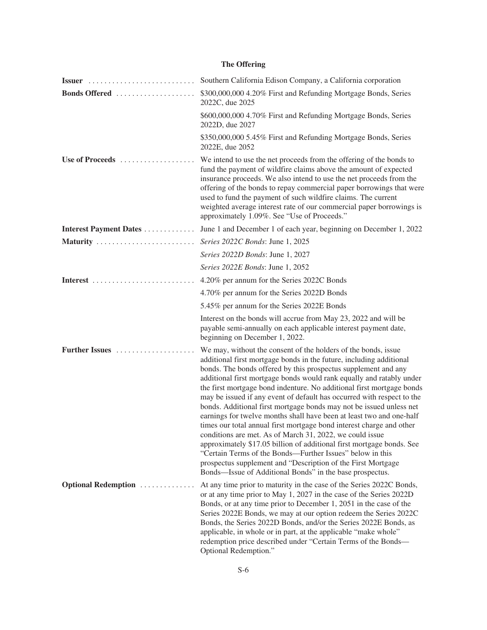# **The Offering**

|                        | Southern California Edison Company, a California corporation                                                                                                                                                                                                                                                                                                                                                                                                                                                                                                                                                                                                                                                                                                                                                                                                                                                                                                                            |
|------------------------|-----------------------------------------------------------------------------------------------------------------------------------------------------------------------------------------------------------------------------------------------------------------------------------------------------------------------------------------------------------------------------------------------------------------------------------------------------------------------------------------------------------------------------------------------------------------------------------------------------------------------------------------------------------------------------------------------------------------------------------------------------------------------------------------------------------------------------------------------------------------------------------------------------------------------------------------------------------------------------------------|
| Bonds Offered          | \$300,000,000 4.20% First and Refunding Mortgage Bonds, Series<br>2022C, due 2025                                                                                                                                                                                                                                                                                                                                                                                                                                                                                                                                                                                                                                                                                                                                                                                                                                                                                                       |
|                        | \$600,000,000 4.70% First and Refunding Mortgage Bonds, Series<br>2022D, due 2027                                                                                                                                                                                                                                                                                                                                                                                                                                                                                                                                                                                                                                                                                                                                                                                                                                                                                                       |
|                        | \$350,000,000 5.45% First and Refunding Mortgage Bonds, Series<br>2022E, due 2052                                                                                                                                                                                                                                                                                                                                                                                                                                                                                                                                                                                                                                                                                                                                                                                                                                                                                                       |
| Use of Proceeds        | We intend to use the net proceeds from the offering of the bonds to<br>fund the payment of wildfire claims above the amount of expected<br>insurance proceeds. We also intend to use the net proceeds from the<br>offering of the bonds to repay commercial paper borrowings that were<br>used to fund the payment of such wildfire claims. The current<br>weighted average interest rate of our commercial paper borrowings is<br>approximately 1.09%. See "Use of Proceeds."                                                                                                                                                                                                                                                                                                                                                                                                                                                                                                          |
| Interest Payment Dates | June 1 and December 1 of each year, beginning on December 1, 2022                                                                                                                                                                                                                                                                                                                                                                                                                                                                                                                                                                                                                                                                                                                                                                                                                                                                                                                       |
| Maturity               | Series 2022C Bonds: June 1, 2025                                                                                                                                                                                                                                                                                                                                                                                                                                                                                                                                                                                                                                                                                                                                                                                                                                                                                                                                                        |
|                        | Series 2022D Bonds: June 1, 2027                                                                                                                                                                                                                                                                                                                                                                                                                                                                                                                                                                                                                                                                                                                                                                                                                                                                                                                                                        |
|                        | Series 2022E Bonds: June 1, 2052                                                                                                                                                                                                                                                                                                                                                                                                                                                                                                                                                                                                                                                                                                                                                                                                                                                                                                                                                        |
|                        | 4.20% per annum for the Series 2022C Bonds                                                                                                                                                                                                                                                                                                                                                                                                                                                                                                                                                                                                                                                                                                                                                                                                                                                                                                                                              |
|                        | 4.70% per annum for the Series 2022D Bonds                                                                                                                                                                                                                                                                                                                                                                                                                                                                                                                                                                                                                                                                                                                                                                                                                                                                                                                                              |
|                        | 5.45% per annum for the Series 2022E Bonds                                                                                                                                                                                                                                                                                                                                                                                                                                                                                                                                                                                                                                                                                                                                                                                                                                                                                                                                              |
|                        | Interest on the bonds will accrue from May 23, 2022 and will be<br>payable semi-annually on each applicable interest payment date,<br>beginning on December 1, 2022.                                                                                                                                                                                                                                                                                                                                                                                                                                                                                                                                                                                                                                                                                                                                                                                                                    |
| Further Issues         | We may, without the consent of the holders of the bonds, issue<br>additional first mortgage bonds in the future, including additional<br>bonds. The bonds offered by this prospectus supplement and any<br>additional first mortgage bonds would rank equally and ratably under<br>the first mortgage bond indenture. No additional first mortgage bonds<br>may be issued if any event of default has occurred with respect to the<br>bonds. Additional first mortgage bonds may not be issued unless net<br>earnings for twelve months shall have been at least two and one-half<br>times our total annual first mortgage bond interest charge and other<br>conditions are met. As of March 31, 2022, we could issue<br>approximately \$17.05 billion of additional first mortgage bonds. See<br>"Certain Terms of the Bonds—Further Issues" below in this<br>prospectus supplement and "Description of the First Mortgage<br>Bonds—Issue of Additional Bonds" in the base prospectus. |
| Optional Redemption    | At any time prior to maturity in the case of the Series 2022C Bonds,<br>or at any time prior to May 1, 2027 in the case of the Series 2022D<br>Bonds, or at any time prior to December 1, 2051 in the case of the<br>Series 2022E Bonds, we may at our option redeem the Series 2022C<br>Bonds, the Series 2022D Bonds, and/or the Series 2022E Bonds, as<br>applicable, in whole or in part, at the applicable "make whole"<br>redemption price described under "Certain Terms of the Bonds-<br>Optional Redemption."                                                                                                                                                                                                                                                                                                                                                                                                                                                                  |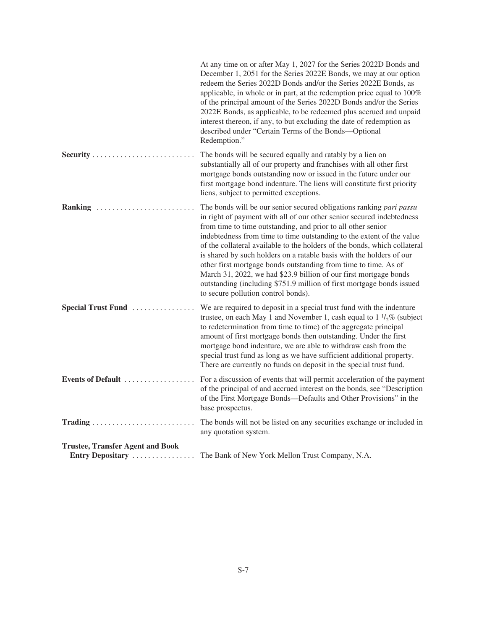|                                                             | At any time on or after May 1, 2027 for the Series 2022D Bonds and<br>December 1, 2051 for the Series 2022E Bonds, we may at our option<br>redeem the Series 2022D Bonds and/or the Series 2022E Bonds, as<br>applicable, in whole or in part, at the redemption price equal to 100%<br>of the principal amount of the Series 2022D Bonds and/or the Series<br>2022E Bonds, as applicable, to be redeemed plus accrued and unpaid<br>interest thereon, if any, to but excluding the date of redemption as<br>described under "Certain Terms of the Bonds--Optional<br>Redemption."                                                                                                                 |
|-------------------------------------------------------------|----------------------------------------------------------------------------------------------------------------------------------------------------------------------------------------------------------------------------------------------------------------------------------------------------------------------------------------------------------------------------------------------------------------------------------------------------------------------------------------------------------------------------------------------------------------------------------------------------------------------------------------------------------------------------------------------------|
|                                                             | The bonds will be secured equally and ratably by a lien on<br>substantially all of our property and franchises with all other first<br>mortgage bonds outstanding now or issued in the future under our<br>first mortgage bond indenture. The liens will constitute first priority<br>liens, subject to permitted exceptions.                                                                                                                                                                                                                                                                                                                                                                      |
| Ranking                                                     | The bonds will be our senior secured obligations ranking pari passu<br>in right of payment with all of our other senior secured indebtedness<br>from time to time outstanding, and prior to all other senior<br>indebtedness from time to time outstanding to the extent of the value<br>of the collateral available to the holders of the bonds, which collateral<br>is shared by such holders on a ratable basis with the holders of our<br>other first mortgage bonds outstanding from time to time. As of<br>March 31, 2022, we had \$23.9 billion of our first mortgage bonds<br>outstanding (including \$751.9 million of first mortgage bonds issued<br>to secure pollution control bonds). |
| Special Trust Fund                                          | We are required to deposit in a special trust fund with the indenture<br>trustee, on each May 1 and November 1, cash equal to $1 \frac{1}{2}\%$ (subject<br>to redetermination from time to time) of the aggregate principal<br>amount of first mortgage bonds then outstanding. Under the first<br>mortgage bond indenture, we are able to withdraw cash from the<br>special trust fund as long as we have sufficient additional property.<br>There are currently no funds on deposit in the special trust fund.                                                                                                                                                                                  |
| Events of Default                                           | For a discussion of events that will permit acceleration of the payment<br>of the principal of and accrued interest on the bonds, see "Description"<br>of the First Mortgage Bonds—Defaults and Other Provisions" in the<br>base prospectus.                                                                                                                                                                                                                                                                                                                                                                                                                                                       |
|                                                             | The bonds will not be listed on any securities exchange or included in<br>any quotation system.                                                                                                                                                                                                                                                                                                                                                                                                                                                                                                                                                                                                    |
| <b>Trustee, Transfer Agent and Book</b><br>Entry Depositary | The Bank of New York Mellon Trust Company, N.A.                                                                                                                                                                                                                                                                                                                                                                                                                                                                                                                                                                                                                                                    |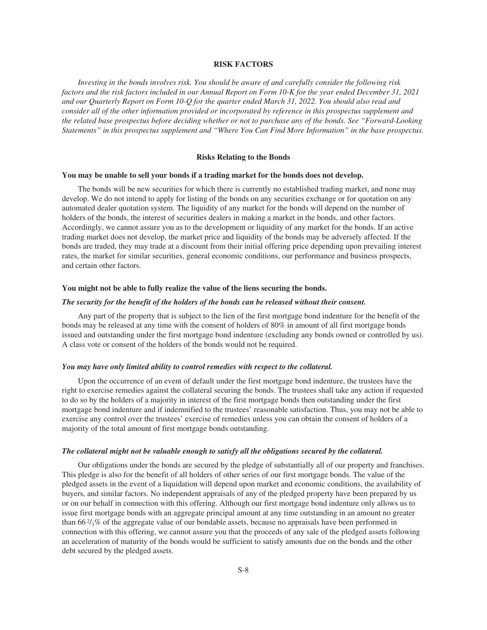# **RISK FACTORS**

<span id="page-9-0"></span>*Investing in the bonds involves risk. You should be aware of and carefully consider the following risk factors and the risk factors included in our Annual Report on Form 10-K for the year ended December 31, 2021 and our Quarterly Report on Form 10-Q for the quarter ended March 31, 2022. You should also read and consider all of the other information provided or incorporated by reference in this prospectus supplement and the related base prospectus before deciding whether or not to purchase any of the bonds. See "Forward-Looking Statements" in this prospectus supplement and "Where You Can Find More Information" in the base prospectus.*

# **Risks Relating to the Bonds**

# **You may be unable to sell your bonds if a trading market for the bonds does not develop.**

The bonds will be new securities for which there is currently no established trading market, and none may develop. We do not intend to apply for listing of the bonds on any securities exchange or for quotation on any automated dealer quotation system. The liquidity of any market for the bonds will depend on the number of holders of the bonds, the interest of securities dealers in making a market in the bonds, and other factors. Accordingly, we cannot assure you as to the development or liquidity of any market for the bonds. If an active trading market does not develop, the market price and liquidity of the bonds may be adversely affected. If the bonds are traded, they may trade at a discount from their initial offering price depending upon prevailing interest rates, the market for similar securities, general economic conditions, our performance and business prospects, and certain other factors.

# **You might not be able to fully realize the value of the liens securing the bonds.**

#### *The security for the benefit of the holders of the bonds can be released without their consent.*

Any part of the property that is subject to the lien of the first mortgage bond indenture for the benefit of the bonds may be released at any time with the consent of holders of 80% in amount of all first mortgage bonds issued and outstanding under the first mortgage bond indenture (excluding any bonds owned or controlled by us). A class vote or consent of the holders of the bonds would not be required.

#### *You may have only limited ability to control remedies with respect to the collateral.*

Upon the occurrence of an event of default under the first mortgage bond indenture, the trustees have the right to exercise remedies against the collateral securing the bonds. The trustees shall take any action if requested to do so by the holders of a majority in interest of the first mortgage bonds then outstanding under the first mortgage bond indenture and if indemnified to the trustees' reasonable satisfaction. Thus, you may not be able to exercise any control over the trustees' exercise of remedies unless you can obtain the consent of holders of a majority of the total amount of first mortgage bonds outstanding.

### *The collateral might not be valuable enough to satisfy all the obligations secured by the collateral.*

Our obligations under the bonds are secured by the pledge of substantially all of our property and franchises. This pledge is also for the benefit of all holders of other series of our first mortgage bonds. The value of the pledged assets in the event of a liquidation will depend upon market and economic conditions, the availability of buyers, and similar factors. No independent appraisals of any of the pledged property have been prepared by us or on our behalf in connection with this offering. Although our first mortgage bond indenture only allows us to issue first mortgage bonds with an aggregate principal amount at any time outstanding in an amount no greater than 66 $\frac{2}{3}$ % of the aggregate value of our bondable assets, because no appraisals have been performed in connection with this offering, we cannot assure you that the proceeds of any sale of the pledged assets following an acceleration of maturity of the bonds would be sufficient to satisfy amounts due on the bonds and the other debt secured by the pledged assets.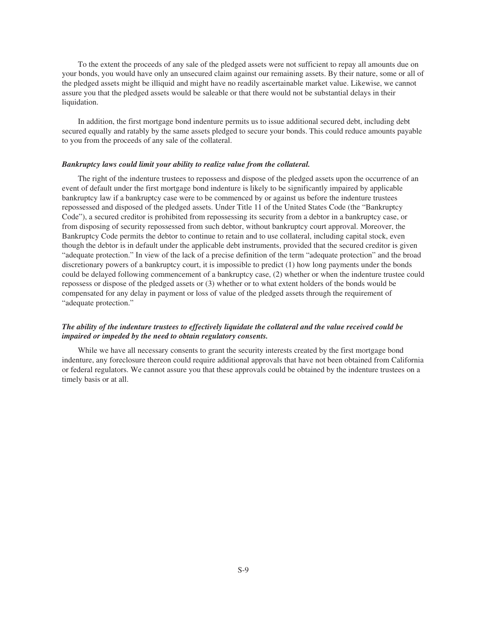To the extent the proceeds of any sale of the pledged assets were not sufficient to repay all amounts due on your bonds, you would have only an unsecured claim against our remaining assets. By their nature, some or all of the pledged assets might be illiquid and might have no readily ascertainable market value. Likewise, we cannot assure you that the pledged assets would be saleable or that there would not be substantial delays in their liquidation.

In addition, the first mortgage bond indenture permits us to issue additional secured debt, including debt secured equally and ratably by the same assets pledged to secure your bonds. This could reduce amounts payable to you from the proceeds of any sale of the collateral.

#### *Bankruptcy laws could limit your ability to realize value from the collateral.*

The right of the indenture trustees to repossess and dispose of the pledged assets upon the occurrence of an event of default under the first mortgage bond indenture is likely to be significantly impaired by applicable bankruptcy law if a bankruptcy case were to be commenced by or against us before the indenture trustees repossessed and disposed of the pledged assets. Under Title 11 of the United States Code (the "Bankruptcy Code"), a secured creditor is prohibited from repossessing its security from a debtor in a bankruptcy case, or from disposing of security repossessed from such debtor, without bankruptcy court approval. Moreover, the Bankruptcy Code permits the debtor to continue to retain and to use collateral, including capital stock, even though the debtor is in default under the applicable debt instruments, provided that the secured creditor is given "adequate protection." In view of the lack of a precise definition of the term "adequate protection" and the broad discretionary powers of a bankruptcy court, it is impossible to predict (1) how long payments under the bonds could be delayed following commencement of a bankruptcy case, (2) whether or when the indenture trustee could repossess or dispose of the pledged assets or (3) whether or to what extent holders of the bonds would be compensated for any delay in payment or loss of value of the pledged assets through the requirement of "adequate protection."

# *The ability of the indenture trustees to effectively liquidate the collateral and the value received could be impaired or impeded by the need to obtain regulatory consents.*

While we have all necessary consents to grant the security interests created by the first mortgage bond indenture, any foreclosure thereon could require additional approvals that have not been obtained from California or federal regulators. We cannot assure you that these approvals could be obtained by the indenture trustees on a timely basis or at all.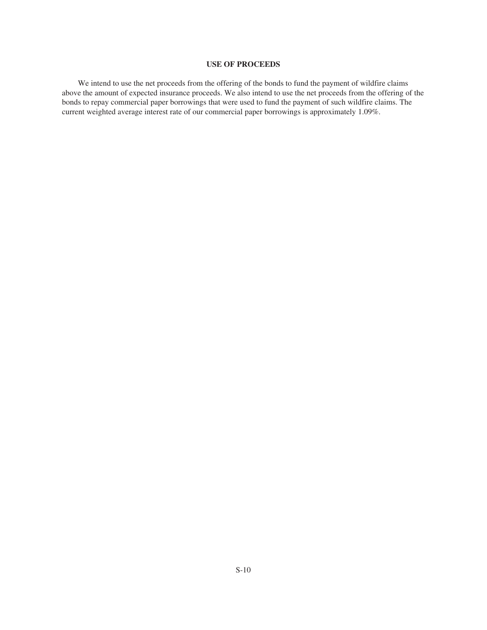# **USE OF PROCEEDS**

<span id="page-11-0"></span>We intend to use the net proceeds from the offering of the bonds to fund the payment of wildfire claims above the amount of expected insurance proceeds. We also intend to use the net proceeds from the offering of the bonds to repay commercial paper borrowings that were used to fund the payment of such wildfire claims. The current weighted average interest rate of our commercial paper borrowings is approximately 1.09%.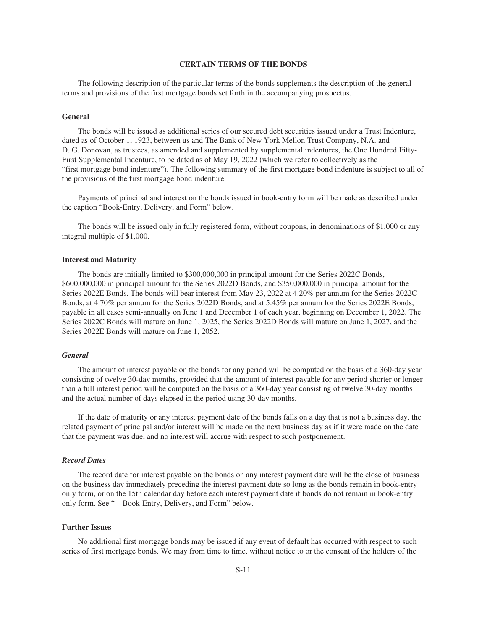# **CERTAIN TERMS OF THE BONDS**

<span id="page-12-0"></span>The following description of the particular terms of the bonds supplements the description of the general terms and provisions of the first mortgage bonds set forth in the accompanying prospectus.

# **General**

The bonds will be issued as additional series of our secured debt securities issued under a Trust Indenture, dated as of October 1, 1923, between us and The Bank of New York Mellon Trust Company, N.A. and D. G. Donovan, as trustees, as amended and supplemented by supplemental indentures, the One Hundred Fifty-First Supplemental Indenture, to be dated as of May 19, 2022 (which we refer to collectively as the "first mortgage bond indenture"). The following summary of the first mortgage bond indenture is subject to all of the provisions of the first mortgage bond indenture.

Payments of principal and interest on the bonds issued in book-entry form will be made as described under the caption "Book-Entry, Delivery, and Form" below.

The bonds will be issued only in fully registered form, without coupons, in denominations of \$1,000 or any integral multiple of \$1,000.

#### **Interest and Maturity**

The bonds are initially limited to \$300,000,000 in principal amount for the Series 2022C Bonds, \$600,000,000 in principal amount for the Series 2022D Bonds, and \$350,000,000 in principal amount for the Series 2022E Bonds. The bonds will bear interest from May 23, 2022 at 4.20% per annum for the Series 2022C Bonds, at 4.70% per annum for the Series 2022D Bonds, and at 5.45% per annum for the Series 2022E Bonds, payable in all cases semi-annually on June 1 and December 1 of each year, beginning on December 1, 2022. The Series 2022C Bonds will mature on June 1, 2025, the Series 2022D Bonds will mature on June 1, 2027, and the Series 2022E Bonds will mature on June 1, 2052.

# *General*

The amount of interest payable on the bonds for any period will be computed on the basis of a 360-day year consisting of twelve 30-day months, provided that the amount of interest payable for any period shorter or longer than a full interest period will be computed on the basis of a 360-day year consisting of twelve 30-day months and the actual number of days elapsed in the period using 30-day months.

If the date of maturity or any interest payment date of the bonds falls on a day that is not a business day, the related payment of principal and/or interest will be made on the next business day as if it were made on the date that the payment was due, and no interest will accrue with respect to such postponement.

# *Record Dates*

The record date for interest payable on the bonds on any interest payment date will be the close of business on the business day immediately preceding the interest payment date so long as the bonds remain in book-entry only form, or on the 15th calendar day before each interest payment date if bonds do not remain in book-entry only form. See "—Book-Entry, Delivery, and Form" below.

# **Further Issues**

No additional first mortgage bonds may be issued if any event of default has occurred with respect to such series of first mortgage bonds. We may from time to time, without notice to or the consent of the holders of the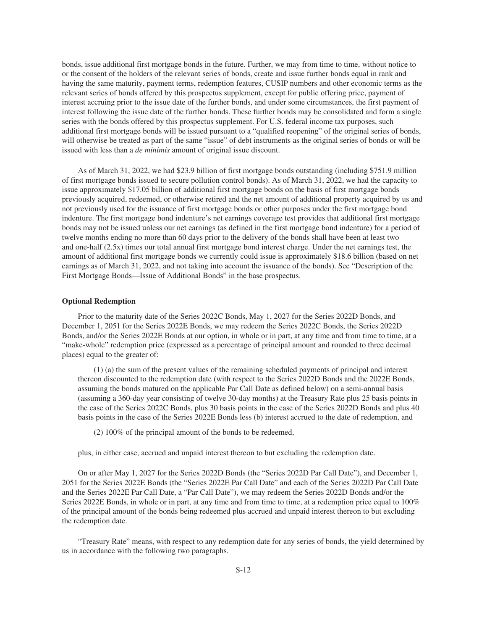bonds, issue additional first mortgage bonds in the future. Further, we may from time to time, without notice to or the consent of the holders of the relevant series of bonds, create and issue further bonds equal in rank and having the same maturity, payment terms, redemption features, CUSIP numbers and other economic terms as the relevant series of bonds offered by this prospectus supplement, except for public offering price, payment of interest accruing prior to the issue date of the further bonds, and under some circumstances, the first payment of interest following the issue date of the further bonds. These further bonds may be consolidated and form a single series with the bonds offered by this prospectus supplement. For U.S. federal income tax purposes, such additional first mortgage bonds will be issued pursuant to a "qualified reopening" of the original series of bonds, will otherwise be treated as part of the same "issue" of debt instruments as the original series of bonds or will be issued with less than a *de minimis* amount of original issue discount.

As of March 31, 2022, we had \$23.9 billion of first mortgage bonds outstanding (including \$751.9 million of first mortgage bonds issued to secure pollution control bonds). As of March 31, 2022, we had the capacity to issue approximately \$17.05 billion of additional first mortgage bonds on the basis of first mortgage bonds previously acquired, redeemed, or otherwise retired and the net amount of additional property acquired by us and not previously used for the issuance of first mortgage bonds or other purposes under the first mortgage bond indenture. The first mortgage bond indenture's net earnings coverage test provides that additional first mortgage bonds may not be issued unless our net earnings (as defined in the first mortgage bond indenture) for a period of twelve months ending no more than 60 days prior to the delivery of the bonds shall have been at least two and one-half (2.5x) times our total annual first mortgage bond interest charge. Under the net earnings test, the amount of additional first mortgage bonds we currently could issue is approximately \$18.6 billion (based on net earnings as of March 31, 2022, and not taking into account the issuance of the bonds). See "Description of the First Mortgage Bonds—Issue of Additional Bonds" in the base prospectus.

# **Optional Redemption**

Prior to the maturity date of the Series 2022C Bonds, May 1, 2027 for the Series 2022D Bonds, and December 1, 2051 for the Series 2022E Bonds, we may redeem the Series 2022C Bonds, the Series 2022D Bonds, and/or the Series 2022E Bonds at our option, in whole or in part, at any time and from time to time, at a "make-whole" redemption price (expressed as a percentage of principal amount and rounded to three decimal places) equal to the greater of:

(1) (a) the sum of the present values of the remaining scheduled payments of principal and interest thereon discounted to the redemption date (with respect to the Series 2022D Bonds and the 2022E Bonds, assuming the bonds matured on the applicable Par Call Date as defined below) on a semi-annual basis (assuming a 360-day year consisting of twelve 30-day months) at the Treasury Rate plus 25 basis points in the case of the Series 2022C Bonds, plus 30 basis points in the case of the Series 2022D Bonds and plus 40 basis points in the case of the Series 2022E Bonds less (b) interest accrued to the date of redemption, and

(2) 100% of the principal amount of the bonds to be redeemed,

plus, in either case, accrued and unpaid interest thereon to but excluding the redemption date.

On or after May 1, 2027 for the Series 2022D Bonds (the "Series 2022D Par Call Date"), and December 1, 2051 for the Series 2022E Bonds (the "Series 2022E Par Call Date" and each of the Series 2022D Par Call Date and the Series 2022E Par Call Date, a "Par Call Date"), we may redeem the Series 2022D Bonds and/or the Series 2022E Bonds, in whole or in part, at any time and from time to time, at a redemption price equal to 100% of the principal amount of the bonds being redeemed plus accrued and unpaid interest thereon to but excluding the redemption date.

"Treasury Rate" means, with respect to any redemption date for any series of bonds, the yield determined by us in accordance with the following two paragraphs.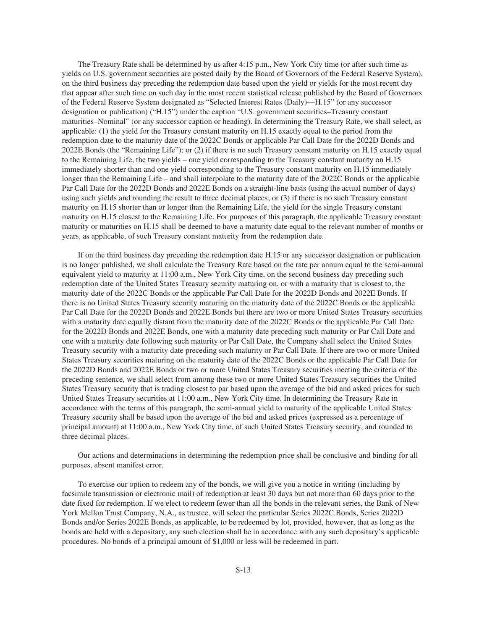The Treasury Rate shall be determined by us after 4:15 p.m., New York City time (or after such time as yields on U.S. government securities are posted daily by the Board of Governors of the Federal Reserve System), on the third business day preceding the redemption date based upon the yield or yields for the most recent day that appear after such time on such day in the most recent statistical release published by the Board of Governors of the Federal Reserve System designated as "Selected Interest Rates (Daily)—H.15" (or any successor designation or publication) ("H.15") under the caption "U.S. government securities–Treasury constant maturities–Nominal" (or any successor caption or heading). In determining the Treasury Rate, we shall select, as applicable: (1) the yield for the Treasury constant maturity on H.15 exactly equal to the period from the redemption date to the maturity date of the 2022C Bonds or applicable Par Call Date for the 2022D Bonds and 2022E Bonds (the "Remaining Life"); or (2) if there is no such Treasury constant maturity on H.15 exactly equal to the Remaining Life, the two yields – one yield corresponding to the Treasury constant maturity on H.15 immediately shorter than and one yield corresponding to the Treasury constant maturity on H.15 immediately longer than the Remaining Life – and shall interpolate to the maturity date of the 2022C Bonds or the applicable Par Call Date for the 2022D Bonds and 2022E Bonds on a straight-line basis (using the actual number of days) using such yields and rounding the result to three decimal places; or (3) if there is no such Treasury constant maturity on H.15 shorter than or longer than the Remaining Life, the yield for the single Treasury constant maturity on H.15 closest to the Remaining Life. For purposes of this paragraph, the applicable Treasury constant maturity or maturities on H.15 shall be deemed to have a maturity date equal to the relevant number of months or years, as applicable, of such Treasury constant maturity from the redemption date.

If on the third business day preceding the redemption date H.15 or any successor designation or publication is no longer published, we shall calculate the Treasury Rate based on the rate per annum equal to the semi-annual equivalent yield to maturity at 11:00 a.m., New York City time, on the second business day preceding such redemption date of the United States Treasury security maturing on, or with a maturity that is closest to, the maturity date of the 2022C Bonds or the applicable Par Call Date for the 2022D Bonds and 2022E Bonds. If there is no United States Treasury security maturing on the maturity date of the 2022C Bonds or the applicable Par Call Date for the 2022D Bonds and 2022E Bonds but there are two or more United States Treasury securities with a maturity date equally distant from the maturity date of the 2022C Bonds or the applicable Par Call Date for the 2022D Bonds and 2022E Bonds, one with a maturity date preceding such maturity or Par Call Date and one with a maturity date following such maturity or Par Call Date, the Company shall select the United States Treasury security with a maturity date preceding such maturity or Par Call Date. If there are two or more United States Treasury securities maturing on the maturity date of the 2022C Bonds or the applicable Par Call Date for the 2022D Bonds and 2022E Bonds or two or more United States Treasury securities meeting the criteria of the preceding sentence, we shall select from among these two or more United States Treasury securities the United States Treasury security that is trading closest to par based upon the average of the bid and asked prices for such United States Treasury securities at 11:00 a.m., New York City time. In determining the Treasury Rate in accordance with the terms of this paragraph, the semi-annual yield to maturity of the applicable United States Treasury security shall be based upon the average of the bid and asked prices (expressed as a percentage of principal amount) at 11:00 a.m., New York City time, of such United States Treasury security, and rounded to three decimal places.

Our actions and determinations in determining the redemption price shall be conclusive and binding for all purposes, absent manifest error.

To exercise our option to redeem any of the bonds, we will give you a notice in writing (including by facsimile transmission or electronic mail) of redemption at least 30 days but not more than 60 days prior to the date fixed for redemption. If we elect to redeem fewer than all the bonds in the relevant series, the Bank of New York Mellon Trust Company, N.A., as trustee, will select the particular Series 2022C Bonds, Series 2022D Bonds and/or Series 2022E Bonds, as applicable, to be redeemed by lot, provided, however, that as long as the bonds are held with a depositary, any such election shall be in accordance with any such depositary's applicable procedures. No bonds of a principal amount of \$1,000 or less will be redeemed in part.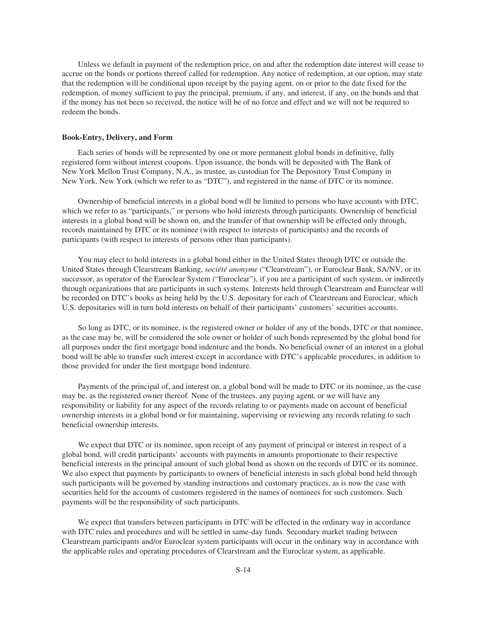Unless we default in payment of the redemption price, on and after the redemption date interest will cease to accrue on the bonds or portions thereof called for redemption. Any notice of redemption, at our option, may state that the redemption will be conditional upon receipt by the paying agent, on or prior to the date fixed for the redemption, of money sufficient to pay the principal, premium, if any, and interest, if any, on the bonds and that if the money has not been so received, the notice will be of no force and effect and we will not be required to redeem the bonds.

#### **Book-Entry, Delivery, and Form**

Each series of bonds will be represented by one or more permanent global bonds in definitive, fully registered form without interest coupons. Upon issuance, the bonds will be deposited with The Bank of New York Mellon Trust Company, N.A., as trustee, as custodian for The Depository Trust Company in New York, New York (which we refer to as "DTC"), and registered in the name of DTC or its nominee.

Ownership of beneficial interests in a global bond will be limited to persons who have accounts with DTC, which we refer to as "participants," or persons who hold interests through participants. Ownership of beneficial interests in a global bond will be shown on, and the transfer of that ownership will be effected only through, records maintained by DTC or its nominee (with respect to interests of participants) and the records of participants (with respect to interests of persons other than participants).

You may elect to hold interests in a global bond either in the United States through DTC or outside the United States through Clearstream Banking, *société anonyme* ("Clearstream"), or Euroclear Bank, SA/NV, or its successor, as operator of the Euroclear System ("Euroclear"), if you are a participant of such system, or indirectly through organizations that are participants in such systems. Interests held through Clearstream and Euroclear will be recorded on DTC's books as being held by the U.S. depositary for each of Clearstream and Euroclear, which U.S. depositaries will in turn hold interests on behalf of their participants' customers' securities accounts.

So long as DTC, or its nominee, is the registered owner or holder of any of the bonds, DTC or that nominee, as the case may be, will be considered the sole owner or holder of such bonds represented by the global bond for all purposes under the first mortgage bond indenture and the bonds. No beneficial owner of an interest in a global bond will be able to transfer such interest except in accordance with DTC's applicable procedures, in addition to those provided for under the first mortgage bond indenture.

Payments of the principal of, and interest on, a global bond will be made to DTC or its nominee, as the case may be, as the registered owner thereof. None of the trustees, any paying agent, or we will have any responsibility or liability for any aspect of the records relating to or payments made on account of beneficial ownership interests in a global bond or for maintaining, supervising or reviewing any records relating to such beneficial ownership interests.

We expect that DTC or its nominee, upon receipt of any payment of principal or interest in respect of a global bond, will credit participants' accounts with payments in amounts proportionate to their respective beneficial interests in the principal amount of such global bond as shown on the records of DTC or its nominee. We also expect that payments by participants to owners of beneficial interests in such global bond held through such participants will be governed by standing instructions and customary practices, as is now the case with securities held for the accounts of customers registered in the names of nominees for such customers. Such payments will be the responsibility of such participants.

We expect that transfers between participants in DTC will be effected in the ordinary way in accordance with DTC rules and procedures and will be settled in same-day funds. Secondary market trading between Clearstream participants and/or Euroclear system participants will occur in the ordinary way in accordance with the applicable rules and operating procedures of Clearstream and the Euroclear system, as applicable.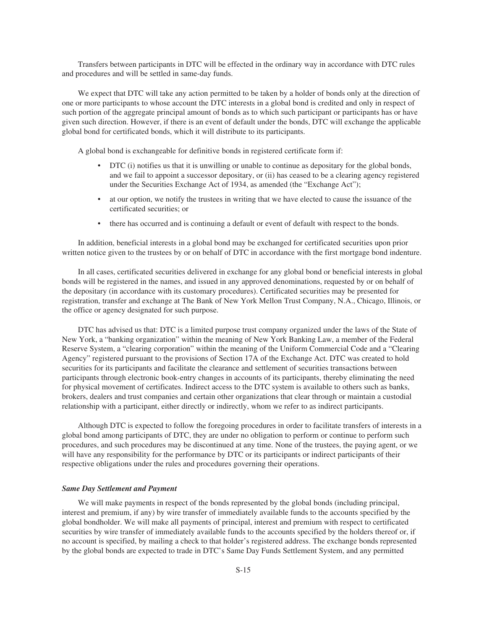Transfers between participants in DTC will be effected in the ordinary way in accordance with DTC rules and procedures and will be settled in same-day funds.

We expect that DTC will take any action permitted to be taken by a holder of bonds only at the direction of one or more participants to whose account the DTC interests in a global bond is credited and only in respect of such portion of the aggregate principal amount of bonds as to which such participant or participants has or have given such direction. However, if there is an event of default under the bonds, DTC will exchange the applicable global bond for certificated bonds, which it will distribute to its participants.

A global bond is exchangeable for definitive bonds in registered certificate form if:

- DTC (i) notifies us that it is unwilling or unable to continue as depositary for the global bonds, and we fail to appoint a successor depositary, or (ii) has ceased to be a clearing agency registered under the Securities Exchange Act of 1934, as amended (the "Exchange Act");
- at our option, we notify the trustees in writing that we have elected to cause the issuance of the certificated securities; or
- there has occurred and is continuing a default or event of default with respect to the bonds.

In addition, beneficial interests in a global bond may be exchanged for certificated securities upon prior written notice given to the trustees by or on behalf of DTC in accordance with the first mortgage bond indenture.

In all cases, certificated securities delivered in exchange for any global bond or beneficial interests in global bonds will be registered in the names, and issued in any approved denominations, requested by or on behalf of the depositary (in accordance with its customary procedures). Certificated securities may be presented for registration, transfer and exchange at The Bank of New York Mellon Trust Company, N.A., Chicago, Illinois, or the office or agency designated for such purpose.

DTC has advised us that: DTC is a limited purpose trust company organized under the laws of the State of New York, a "banking organization" within the meaning of New York Banking Law, a member of the Federal Reserve System, a "clearing corporation" within the meaning of the Uniform Commercial Code and a "Clearing Agency" registered pursuant to the provisions of Section 17A of the Exchange Act. DTC was created to hold securities for its participants and facilitate the clearance and settlement of securities transactions between participants through electronic book-entry changes in accounts of its participants, thereby eliminating the need for physical movement of certificates. Indirect access to the DTC system is available to others such as banks, brokers, dealers and trust companies and certain other organizations that clear through or maintain a custodial relationship with a participant, either directly or indirectly, whom we refer to as indirect participants.

Although DTC is expected to follow the foregoing procedures in order to facilitate transfers of interests in a global bond among participants of DTC, they are under no obligation to perform or continue to perform such procedures, and such procedures may be discontinued at any time. None of the trustees, the paying agent, or we will have any responsibility for the performance by DTC or its participants or indirect participants of their respective obligations under the rules and procedures governing their operations.

#### *Same Day Settlement and Payment*

We will make payments in respect of the bonds represented by the global bonds (including principal, interest and premium, if any) by wire transfer of immediately available funds to the accounts specified by the global bondholder. We will make all payments of principal, interest and premium with respect to certificated securities by wire transfer of immediately available funds to the accounts specified by the holders thereof or, if no account is specified, by mailing a check to that holder's registered address. The exchange bonds represented by the global bonds are expected to trade in DTC's Same Day Funds Settlement System, and any permitted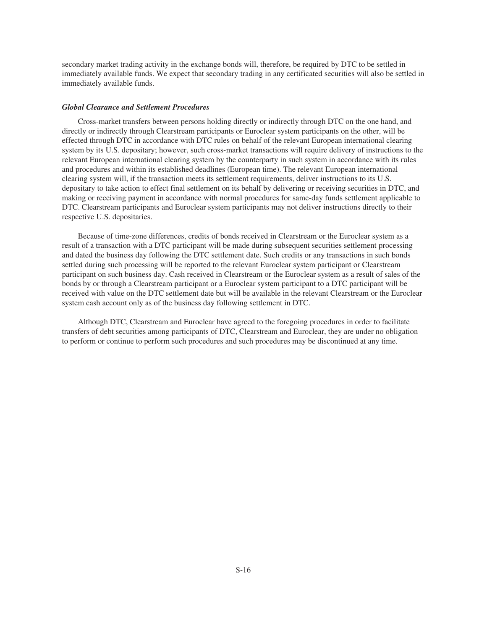secondary market trading activity in the exchange bonds will, therefore, be required by DTC to be settled in immediately available funds. We expect that secondary trading in any certificated securities will also be settled in immediately available funds.

### *Global Clearance and Settlement Procedures*

Cross-market transfers between persons holding directly or indirectly through DTC on the one hand, and directly or indirectly through Clearstream participants or Euroclear system participants on the other, will be effected through DTC in accordance with DTC rules on behalf of the relevant European international clearing system by its U.S. depositary; however, such cross-market transactions will require delivery of instructions to the relevant European international clearing system by the counterparty in such system in accordance with its rules and procedures and within its established deadlines (European time). The relevant European international clearing system will, if the transaction meets its settlement requirements, deliver instructions to its U.S. depositary to take action to effect final settlement on its behalf by delivering or receiving securities in DTC, and making or receiving payment in accordance with normal procedures for same-day funds settlement applicable to DTC. Clearstream participants and Euroclear system participants may not deliver instructions directly to their respective U.S. depositaries.

Because of time-zone differences, credits of bonds received in Clearstream or the Euroclear system as a result of a transaction with a DTC participant will be made during subsequent securities settlement processing and dated the business day following the DTC settlement date. Such credits or any transactions in such bonds settled during such processing will be reported to the relevant Euroclear system participant or Clearstream participant on such business day. Cash received in Clearstream or the Euroclear system as a result of sales of the bonds by or through a Clearstream participant or a Euroclear system participant to a DTC participant will be received with value on the DTC settlement date but will be available in the relevant Clearstream or the Euroclear system cash account only as of the business day following settlement in DTC.

Although DTC, Clearstream and Euroclear have agreed to the foregoing procedures in order to facilitate transfers of debt securities among participants of DTC, Clearstream and Euroclear, they are under no obligation to perform or continue to perform such procedures and such procedures may be discontinued at any time.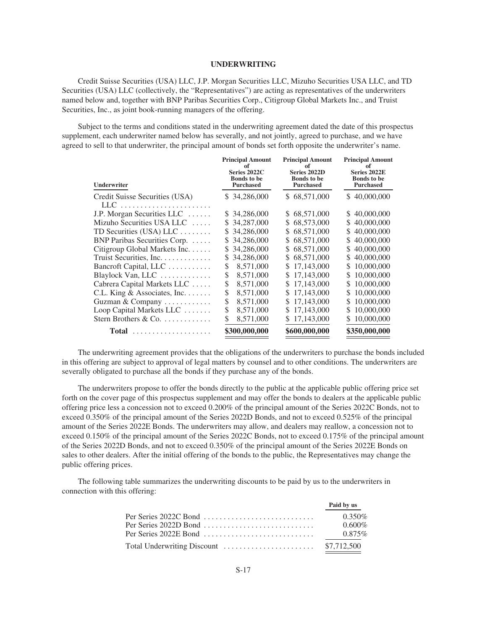# **UNDERWRITING**

<span id="page-18-0"></span>Credit Suisse Securities (USA) LLC, J.P. Morgan Securities LLC, Mizuho Securities USA LLC, and TD Securities (USA) LLC (collectively, the "Representatives") are acting as representatives of the underwriters named below and, together with BNP Paribas Securities Corp., Citigroup Global Markets Inc., and Truist Securities, Inc., as joint book-running managers of the offering.

Subject to the terms and conditions stated in the underwriting agreement dated the date of this prospectus supplement, each underwriter named below has severally, and not jointly, agreed to purchase, and we have agreed to sell to that underwriter, the principal amount of bonds set forth opposite the underwriter's name.

| Underwriter                    | <b>Principal Amount</b> | <b>Principal Amount</b> | <b>Principal Amount</b> |
|--------------------------------|-------------------------|-------------------------|-------------------------|
|                                | of                      | of                      | of                      |
|                                | Series 2022C            | Series 2022D            | Series 2022E            |
|                                | <b>Bonds</b> to be      | <b>Bonds</b> to be      | <b>Bonds</b> to be      |
|                                | <b>Purchased</b>        | <b>Purchased</b>        | <b>Purchased</b>        |
| Credit Suisse Securities (USA) | 34,286,000<br>S.        | \$68,571,000            | \$40,000,000            |
| LLC-                           |                         |                         |                         |
| J.P. Morgan Securities LLC     | \$34,286,000            | 68,571,000<br>S.        | \$40,000,000            |
| Mizuho Securities USA LLC      | 34,287,000              | 68,573,000              | 40,000,000              |
|                                | S                       | \$                      | S                       |
| TD Securities (USA) LLC        | 34,286,000              | 68,571,000              | 40,000,000              |
|                                | S                       | S                       | S                       |
| BNP Paribas Securities Corp.   | 34,286,000              | 68,571,000              | 40,000,000              |
|                                | S                       | \$                      | S                       |
| Citigroup Global Markets Inc.  | 34,286,000              | 68,571,000              | 40,000,000              |
|                                | S                       | \$                      | S                       |
| Truist Securities, Inc.        | 34,286,000              | 68,571,000              | 40,000,000              |
|                                | S                       | S                       | S                       |
| Bancroft Capital, LLC          | 8,571,000               | 17,143,000              | 10,000,000              |
|                                | \$                      | \$                      | S                       |
| Blaylock Van, LLC              | \$                      | 17,143,000              | 10,000,000              |
|                                | 8,571,000               | S                       | S                       |
| Cabrera Capital Markets LLC    | \$                      | 17,143,000              | 10,000,000              |
|                                | 8,571,000               | \$                      | S                       |
| C.L. King & Associates, Inc.   | \$                      | 17,143,000              | 10,000,000              |
|                                | 8,571,000               | S                       | S                       |
| Guzman & Company               | \$                      | 17,143,000              | 10,000,000              |
|                                | 8,571,000               | S                       | S                       |
| Loop Capital Markets LLC       | \$                      | 17,143,000              | 10,000,000              |
|                                | 8,571,000               | S.                      | S                       |
| Stern Brothers & Co.           | \$<br>8,571,000         | 17,143,000              | 10,000,000<br>S         |
| <b>Total</b><br>.              | \$300,000,000           | \$600,000,000           | \$350,000,000           |

The underwriting agreement provides that the obligations of the underwriters to purchase the bonds included in this offering are subject to approval of legal matters by counsel and to other conditions. The underwriters are severally obligated to purchase all the bonds if they purchase any of the bonds.

The underwriters propose to offer the bonds directly to the public at the applicable public offering price set forth on the cover page of this prospectus supplement and may offer the bonds to dealers at the applicable public offering price less a concession not to exceed 0.200% of the principal amount of the Series 2022C Bonds, not to exceed 0.350% of the principal amount of the Series 2022D Bonds, and not to exceed 0.525% of the principal amount of the Series 2022E Bonds. The underwriters may allow, and dealers may reallow, a concession not to exceed 0.150% of the principal amount of the Series 2022C Bonds, not to exceed 0.175% of the principal amount of the Series 2022D Bonds, and not to exceed 0.350% of the principal amount of the Series 2022E Bonds on sales to other dealers. After the initial offering of the bonds to the public, the Representatives may change the public offering prices.

The following table summarizes the underwriting discounts to be paid by us to the underwriters in connection with this offering:

| Paid by us |
|------------|
| $0.350\%$  |
| $0.600\%$  |
| $0.875\%$  |
|            |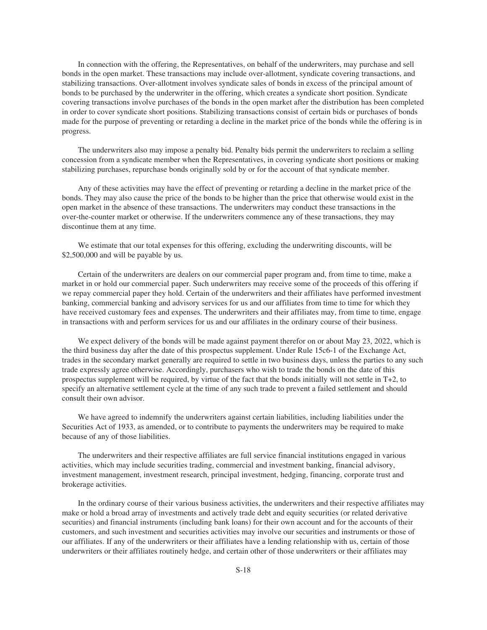In connection with the offering, the Representatives, on behalf of the underwriters, may purchase and sell bonds in the open market. These transactions may include over-allotment, syndicate covering transactions, and stabilizing transactions. Over-allotment involves syndicate sales of bonds in excess of the principal amount of bonds to be purchased by the underwriter in the offering, which creates a syndicate short position. Syndicate covering transactions involve purchases of the bonds in the open market after the distribution has been completed in order to cover syndicate short positions. Stabilizing transactions consist of certain bids or purchases of bonds made for the purpose of preventing or retarding a decline in the market price of the bonds while the offering is in progress.

The underwriters also may impose a penalty bid. Penalty bids permit the underwriters to reclaim a selling concession from a syndicate member when the Representatives, in covering syndicate short positions or making stabilizing purchases, repurchase bonds originally sold by or for the account of that syndicate member.

Any of these activities may have the effect of preventing or retarding a decline in the market price of the bonds. They may also cause the price of the bonds to be higher than the price that otherwise would exist in the open market in the absence of these transactions. The underwriters may conduct these transactions in the over-the-counter market or otherwise. If the underwriters commence any of these transactions, they may discontinue them at any time.

We estimate that our total expenses for this offering, excluding the underwriting discounts, will be \$2,500,000 and will be payable by us.

Certain of the underwriters are dealers on our commercial paper program and, from time to time, make a market in or hold our commercial paper. Such underwriters may receive some of the proceeds of this offering if we repay commercial paper they hold. Certain of the underwriters and their affiliates have performed investment banking, commercial banking and advisory services for us and our affiliates from time to time for which they have received customary fees and expenses. The underwriters and their affiliates may, from time to time, engage in transactions with and perform services for us and our affiliates in the ordinary course of their business.

We expect delivery of the bonds will be made against payment therefor on or about May 23, 2022, which is the third business day after the date of this prospectus supplement. Under Rule 15c6-1 of the Exchange Act, trades in the secondary market generally are required to settle in two business days, unless the parties to any such trade expressly agree otherwise. Accordingly, purchasers who wish to trade the bonds on the date of this prospectus supplement will be required, by virtue of the fact that the bonds initially will not settle in T+2, to specify an alternative settlement cycle at the time of any such trade to prevent a failed settlement and should consult their own advisor.

We have agreed to indemnify the underwriters against certain liabilities, including liabilities under the Securities Act of 1933, as amended, or to contribute to payments the underwriters may be required to make because of any of those liabilities.

The underwriters and their respective affiliates are full service financial institutions engaged in various activities, which may include securities trading, commercial and investment banking, financial advisory, investment management, investment research, principal investment, hedging, financing, corporate trust and brokerage activities.

In the ordinary course of their various business activities, the underwriters and their respective affiliates may make or hold a broad array of investments and actively trade debt and equity securities (or related derivative securities) and financial instruments (including bank loans) for their own account and for the accounts of their customers, and such investment and securities activities may involve our securities and instruments or those of our affiliates. If any of the underwriters or their affiliates have a lending relationship with us, certain of those underwriters or their affiliates routinely hedge, and certain other of those underwriters or their affiliates may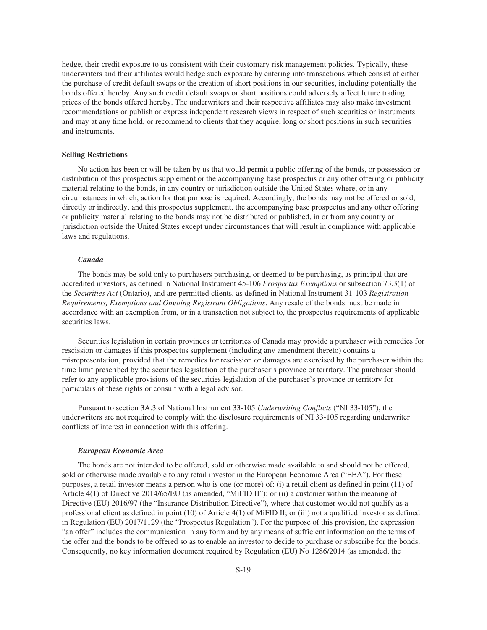hedge, their credit exposure to us consistent with their customary risk management policies. Typically, these underwriters and their affiliates would hedge such exposure by entering into transactions which consist of either the purchase of credit default swaps or the creation of short positions in our securities, including potentially the bonds offered hereby. Any such credit default swaps or short positions could adversely affect future trading prices of the bonds offered hereby. The underwriters and their respective affiliates may also make investment recommendations or publish or express independent research views in respect of such securities or instruments and may at any time hold, or recommend to clients that they acquire, long or short positions in such securities and instruments.

#### **Selling Restrictions**

No action has been or will be taken by us that would permit a public offering of the bonds, or possession or distribution of this prospectus supplement or the accompanying base prospectus or any other offering or publicity material relating to the bonds, in any country or jurisdiction outside the United States where, or in any circumstances in which, action for that purpose is required. Accordingly, the bonds may not be offered or sold, directly or indirectly, and this prospectus supplement, the accompanying base prospectus and any other offering or publicity material relating to the bonds may not be distributed or published, in or from any country or jurisdiction outside the United States except under circumstances that will result in compliance with applicable laws and regulations.

#### *Canada*

The bonds may be sold only to purchasers purchasing, or deemed to be purchasing, as principal that are accredited investors, as defined in National Instrument 45-106 *Prospectus Exemptions* or subsection 73.3(1) of the *Securities Act* (Ontario), and are permitted clients, as defined in National Instrument 31-103 *Registration Requirements, Exemptions and Ongoing Registrant Obligations*. Any resale of the bonds must be made in accordance with an exemption from, or in a transaction not subject to, the prospectus requirements of applicable securities laws.

Securities legislation in certain provinces or territories of Canada may provide a purchaser with remedies for rescission or damages if this prospectus supplement (including any amendment thereto) contains a misrepresentation, provided that the remedies for rescission or damages are exercised by the purchaser within the time limit prescribed by the securities legislation of the purchaser's province or territory. The purchaser should refer to any applicable provisions of the securities legislation of the purchaser's province or territory for particulars of these rights or consult with a legal advisor.

Pursuant to section 3A.3 of National Instrument 33-105 *Underwriting Conflicts* ("NI 33-105"), the underwriters are not required to comply with the disclosure requirements of NI 33-105 regarding underwriter conflicts of interest in connection with this offering.

#### *European Economic Area*

The bonds are not intended to be offered, sold or otherwise made available to and should not be offered, sold or otherwise made available to any retail investor in the European Economic Area ("EEA"). For these purposes, a retail investor means a person who is one (or more) of: (i) a retail client as defined in point (11) of Article 4(1) of Directive 2014/65/EU (as amended, "MiFID II"); or (ii) a customer within the meaning of Directive (EU) 2016/97 (the "Insurance Distribution Directive"), where that customer would not qualify as a professional client as defined in point (10) of Article 4(1) of MiFID II; or (iii) not a qualified investor as defined in Regulation (EU) 2017/1129 (the "Prospectus Regulation"). For the purpose of this provision, the expression "an offer" includes the communication in any form and by any means of sufficient information on the terms of the offer and the bonds to be offered so as to enable an investor to decide to purchase or subscribe for the bonds. Consequently, no key information document required by Regulation (EU) No 1286/2014 (as amended, the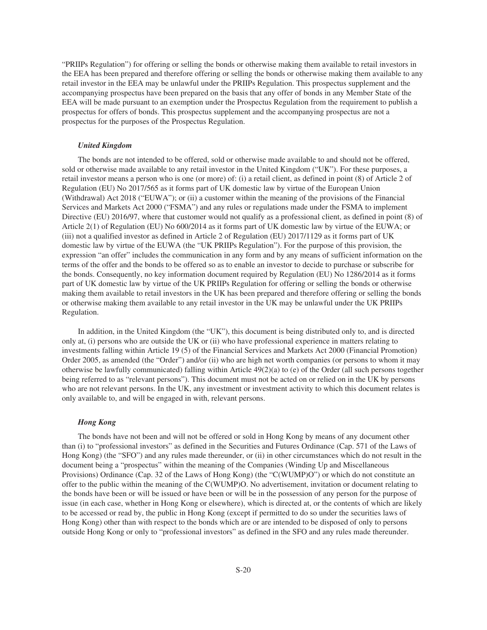"PRIIPs Regulation") for offering or selling the bonds or otherwise making them available to retail investors in the EEA has been prepared and therefore offering or selling the bonds or otherwise making them available to any retail investor in the EEA may be unlawful under the PRIIPs Regulation. This prospectus supplement and the accompanying prospectus have been prepared on the basis that any offer of bonds in any Member State of the EEA will be made pursuant to an exemption under the Prospectus Regulation from the requirement to publish a prospectus for offers of bonds. This prospectus supplement and the accompanying prospectus are not a prospectus for the purposes of the Prospectus Regulation.

# *United Kingdom*

The bonds are not intended to be offered, sold or otherwise made available to and should not be offered, sold or otherwise made available to any retail investor in the United Kingdom ("UK"). For these purposes, a retail investor means a person who is one (or more) of: (i) a retail client, as defined in point (8) of Article 2 of Regulation (EU) No 2017/565 as it forms part of UK domestic law by virtue of the European Union (Withdrawal) Act 2018 ("EUWA"); or (ii) a customer within the meaning of the provisions of the Financial Services and Markets Act 2000 ("FSMA") and any rules or regulations made under the FSMA to implement Directive (EU) 2016/97, where that customer would not qualify as a professional client, as defined in point (8) of Article 2(1) of Regulation (EU) No 600/2014 as it forms part of UK domestic law by virtue of the EUWA; or (iii) not a qualified investor as defined in Article 2 of Regulation (EU) 2017/1129 as it forms part of UK domestic law by virtue of the EUWA (the "UK PRIIPs Regulation"). For the purpose of this provision, the expression "an offer" includes the communication in any form and by any means of sufficient information on the terms of the offer and the bonds to be offered so as to enable an investor to decide to purchase or subscribe for the bonds. Consequently, no key information document required by Regulation (EU) No 1286/2014 as it forms part of UK domestic law by virtue of the UK PRIIPs Regulation for offering or selling the bonds or otherwise making them available to retail investors in the UK has been prepared and therefore offering or selling the bonds or otherwise making them available to any retail investor in the UK may be unlawful under the UK PRIIPs Regulation.

In addition, in the United Kingdom (the "UK"), this document is being distributed only to, and is directed only at, (i) persons who are outside the UK or (ii) who have professional experience in matters relating to investments falling within Article 19 (5) of the Financial Services and Markets Act 2000 (Financial Promotion) Order 2005, as amended (the "Order") and/or (ii) who are high net worth companies (or persons to whom it may otherwise be lawfully communicated) falling within Article  $49(2)(a)$  to (e) of the Order (all such persons together being referred to as "relevant persons"). This document must not be acted on or relied on in the UK by persons who are not relevant persons. In the UK, any investment or investment activity to which this document relates is only available to, and will be engaged in with, relevant persons.

#### *Hong Kong*

The bonds have not been and will not be offered or sold in Hong Kong by means of any document other than (i) to "professional investors" as defined in the Securities and Futures Ordinance (Cap. 571 of the Laws of Hong Kong) (the "SFO") and any rules made thereunder, or (ii) in other circumstances which do not result in the document being a "prospectus" within the meaning of the Companies (Winding Up and Miscellaneous Provisions) Ordinance (Cap. 32 of the Laws of Hong Kong) (the "C(WUMP)O") or which do not constitute an offer to the public within the meaning of the C(WUMP)O. No advertisement, invitation or document relating to the bonds have been or will be issued or have been or will be in the possession of any person for the purpose of issue (in each case, whether in Hong Kong or elsewhere), which is directed at, or the contents of which are likely to be accessed or read by, the public in Hong Kong (except if permitted to do so under the securities laws of Hong Kong) other than with respect to the bonds which are or are intended to be disposed of only to persons outside Hong Kong or only to "professional investors" as defined in the SFO and any rules made thereunder.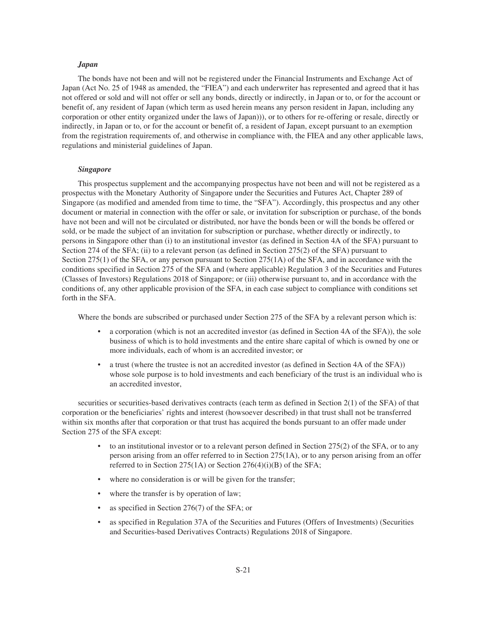# *Japan*

The bonds have not been and will not be registered under the Financial Instruments and Exchange Act of Japan (Act No. 25 of 1948 as amended, the "FIEA") and each underwriter has represented and agreed that it has not offered or sold and will not offer or sell any bonds, directly or indirectly, in Japan or to, or for the account or benefit of, any resident of Japan (which term as used herein means any person resident in Japan, including any corporation or other entity organized under the laws of Japan))), or to others for re-offering or resale, directly or indirectly, in Japan or to, or for the account or benefit of, a resident of Japan, except pursuant to an exemption from the registration requirements of, and otherwise in compliance with, the FIEA and any other applicable laws, regulations and ministerial guidelines of Japan.

# *Singapore*

This prospectus supplement and the accompanying prospectus have not been and will not be registered as a prospectus with the Monetary Authority of Singapore under the Securities and Futures Act, Chapter 289 of Singapore (as modified and amended from time to time, the "SFA"). Accordingly, this prospectus and any other document or material in connection with the offer or sale, or invitation for subscription or purchase, of the bonds have not been and will not be circulated or distributed, nor have the bonds been or will the bonds be offered or sold, or be made the subject of an invitation for subscription or purchase, whether directly or indirectly, to persons in Singapore other than (i) to an institutional investor (as defined in Section 4A of the SFA) pursuant to Section 274 of the SFA; (ii) to a relevant person (as defined in Section 275(2) of the SFA) pursuant to Section 275(1) of the SFA, or any person pursuant to Section 275(1A) of the SFA, and in accordance with the conditions specified in Section 275 of the SFA and (where applicable) Regulation 3 of the Securities and Futures (Classes of Investors) Regulations 2018 of Singapore; or (iii) otherwise pursuant to, and in accordance with the conditions of, any other applicable provision of the SFA, in each case subject to compliance with conditions set forth in the SFA.

Where the bonds are subscribed or purchased under Section 275 of the SFA by a relevant person which is:

- a corporation (which is not an accredited investor (as defined in Section 4A of the SFA)), the sole business of which is to hold investments and the entire share capital of which is owned by one or more individuals, each of whom is an accredited investor; or
- a trust (where the trustee is not an accredited investor (as defined in Section 4A of the SFA)) whose sole purpose is to hold investments and each beneficiary of the trust is an individual who is an accredited investor,

securities or securities-based derivatives contracts (each term as defined in Section 2(1) of the SFA) of that corporation or the beneficiaries' rights and interest (howsoever described) in that trust shall not be transferred within six months after that corporation or that trust has acquired the bonds pursuant to an offer made under Section 275 of the SFA except:

- to an institutional investor or to a relevant person defined in Section 275(2) of the SFA, or to any person arising from an offer referred to in Section 275(1A), or to any person arising from an offer referred to in Section 275(1A) or Section 276(4)(i)(B) of the SFA;
- where no consideration is or will be given for the transfer;
- where the transfer is by operation of law;
- as specified in Section 276(7) of the SFA; or
- as specified in Regulation 37A of the Securities and Futures (Offers of Investments) (Securities and Securities-based Derivatives Contracts) Regulations 2018 of Singapore.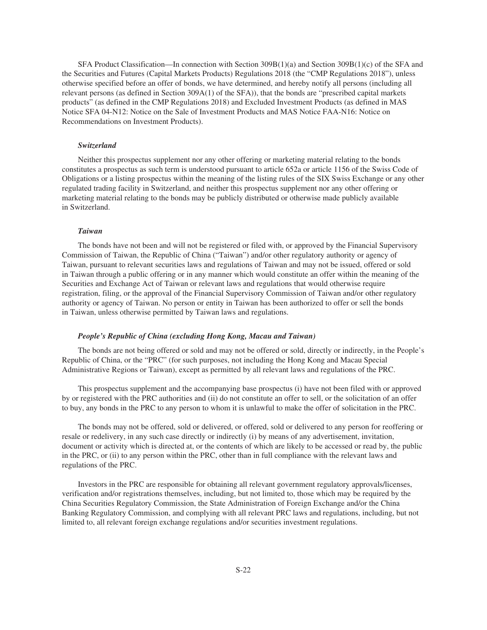SFA Product Classification—In connection with Section 309B(1)(a) and Section 309B(1)(c) of the SFA and the Securities and Futures (Capital Markets Products) Regulations 2018 (the "CMP Regulations 2018"), unless otherwise specified before an offer of bonds, we have determined, and hereby notify all persons (including all relevant persons (as defined in Section 309A(1) of the SFA)), that the bonds are "prescribed capital markets products" (as defined in the CMP Regulations 2018) and Excluded Investment Products (as defined in MAS Notice SFA 04-N12: Notice on the Sale of Investment Products and MAS Notice FAA-N16: Notice on Recommendations on Investment Products).

# *Switzerland*

Neither this prospectus supplement nor any other offering or marketing material relating to the bonds constitutes a prospectus as such term is understood pursuant to article 652a or article 1156 of the Swiss Code of Obligations or a listing prospectus within the meaning of the listing rules of the SIX Swiss Exchange or any other regulated trading facility in Switzerland, and neither this prospectus supplement nor any other offering or marketing material relating to the bonds may be publicly distributed or otherwise made publicly available in Switzerland.

# *Taiwan*

The bonds have not been and will not be registered or filed with, or approved by the Financial Supervisory Commission of Taiwan, the Republic of China ("Taiwan") and/or other regulatory authority or agency of Taiwan, pursuant to relevant securities laws and regulations of Taiwan and may not be issued, offered or sold in Taiwan through a public offering or in any manner which would constitute an offer within the meaning of the Securities and Exchange Act of Taiwan or relevant laws and regulations that would otherwise require registration, filing, or the approval of the Financial Supervisory Commission of Taiwan and/or other regulatory authority or agency of Taiwan. No person or entity in Taiwan has been authorized to offer or sell the bonds in Taiwan, unless otherwise permitted by Taiwan laws and regulations.

# *People's Republic of China (excluding Hong Kong, Macau and Taiwan)*

The bonds are not being offered or sold and may not be offered or sold, directly or indirectly, in the People's Republic of China, or the "PRC" (for such purposes, not including the Hong Kong and Macau Special Administrative Regions or Taiwan), except as permitted by all relevant laws and regulations of the PRC.

This prospectus supplement and the accompanying base prospectus (i) have not been filed with or approved by or registered with the PRC authorities and (ii) do not constitute an offer to sell, or the solicitation of an offer to buy, any bonds in the PRC to any person to whom it is unlawful to make the offer of solicitation in the PRC.

The bonds may not be offered, sold or delivered, or offered, sold or delivered to any person for reoffering or resale or redelivery, in any such case directly or indirectly (i) by means of any advertisement, invitation, document or activity which is directed at, or the contents of which are likely to be accessed or read by, the public in the PRC, or (ii) to any person within the PRC, other than in full compliance with the relevant laws and regulations of the PRC.

Investors in the PRC are responsible for obtaining all relevant government regulatory approvals/licenses, verification and/or registrations themselves, including, but not limited to, those which may be required by the China Securities Regulatory Commission, the State Administration of Foreign Exchange and/or the China Banking Regulatory Commission, and complying with all relevant PRC laws and regulations, including, but not limited to, all relevant foreign exchange regulations and/or securities investment regulations.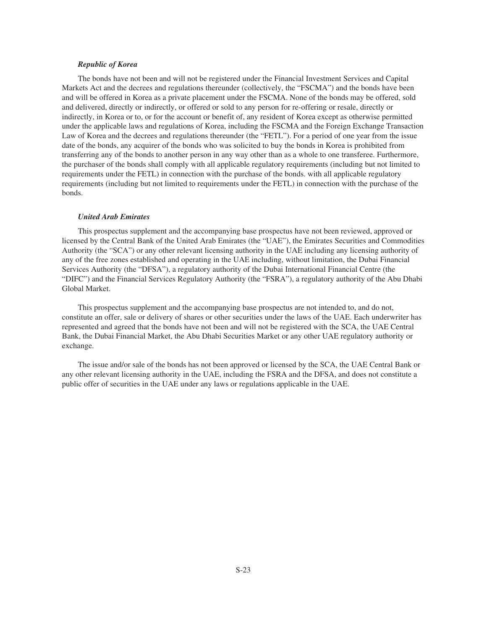# *Republic of Korea*

The bonds have not been and will not be registered under the Financial Investment Services and Capital Markets Act and the decrees and regulations thereunder (collectively, the "FSCMA") and the bonds have been and will be offered in Korea as a private placement under the FSCMA. None of the bonds may be offered, sold and delivered, directly or indirectly, or offered or sold to any person for re-offering or resale, directly or indirectly, in Korea or to, or for the account or benefit of, any resident of Korea except as otherwise permitted under the applicable laws and regulations of Korea, including the FSCMA and the Foreign Exchange Transaction Law of Korea and the decrees and regulations thereunder (the "FETL"). For a period of one year from the issue date of the bonds, any acquirer of the bonds who was solicited to buy the bonds in Korea is prohibited from transferring any of the bonds to another person in any way other than as a whole to one transferee. Furthermore, the purchaser of the bonds shall comply with all applicable regulatory requirements (including but not limited to requirements under the FETL) in connection with the purchase of the bonds. with all applicable regulatory requirements (including but not limited to requirements under the FETL) in connection with the purchase of the bonds.

#### *United Arab Emirates*

This prospectus supplement and the accompanying base prospectus have not been reviewed, approved or licensed by the Central Bank of the United Arab Emirates (the "UAE"), the Emirates Securities and Commodities Authority (the "SCA") or any other relevant licensing authority in the UAE including any licensing authority of any of the free zones established and operating in the UAE including, without limitation, the Dubai Financial Services Authority (the "DFSA"), a regulatory authority of the Dubai International Financial Centre (the "DIFC") and the Financial Services Regulatory Authority (the "FSRA"), a regulatory authority of the Abu Dhabi Global Market.

This prospectus supplement and the accompanying base prospectus are not intended to, and do not, constitute an offer, sale or delivery of shares or other securities under the laws of the UAE. Each underwriter has represented and agreed that the bonds have not been and will not be registered with the SCA, the UAE Central Bank, the Dubai Financial Market, the Abu Dhabi Securities Market or any other UAE regulatory authority or exchange.

The issue and/or sale of the bonds has not been approved or licensed by the SCA, the UAE Central Bank or any other relevant licensing authority in the UAE, including the FSRA and the DFSA, and does not constitute a public offer of securities in the UAE under any laws or regulations applicable in the UAE.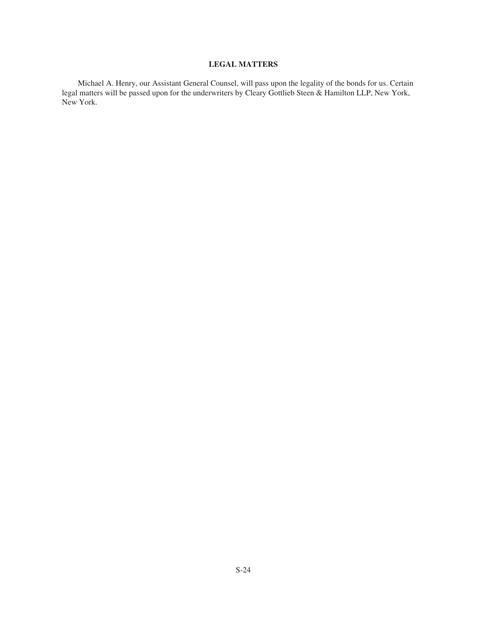# **LEGAL MATTERS**

<span id="page-25-0"></span>Michael A. Henry, our Assistant General Counsel, will pass upon the legality of the bonds for us. Certain legal matters will be passed upon for the underwriters by Cleary Gottlieb Steen & Hamilton LLP, New York, New York.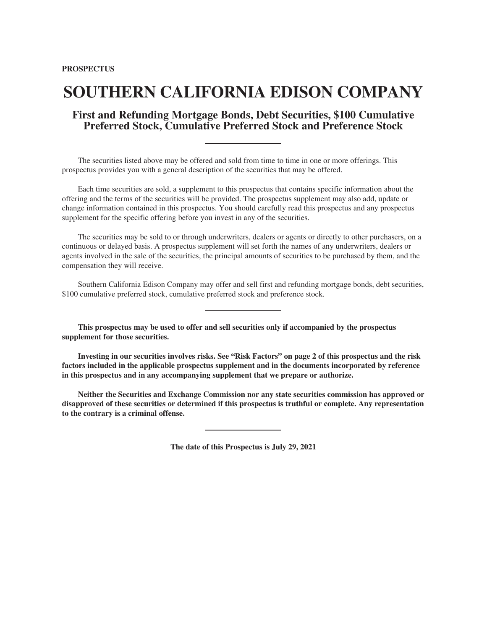# **SOUTHERN CALIFORNIA EDISON COMPANY**

# **First and Refunding Mortgage Bonds, Debt Securities, \$100 Cumulative Preferred Stock, Cumulative Preferred Stock and Preference Stock**

The securities listed above may be offered and sold from time to time in one or more offerings. This prospectus provides you with a general description of the securities that may be offered.

Each time securities are sold, a supplement to this prospectus that contains specific information about the offering and the terms of the securities will be provided. The prospectus supplement may also add, update or change information contained in this prospectus. You should carefully read this prospectus and any prospectus supplement for the specific offering before you invest in any of the securities.

The securities may be sold to or through underwriters, dealers or agents or directly to other purchasers, on a continuous or delayed basis. A prospectus supplement will set forth the names of any underwriters, dealers or agents involved in the sale of the securities, the principal amounts of securities to be purchased by them, and the compensation they will receive.

Southern California Edison Company may offer and sell first and refunding mortgage bonds, debt securities, \$100 cumulative preferred stock, cumulative preferred stock and preference stock.

**This prospectus may be used to offer and sell securities only if accompanied by the prospectus supplement for those securities.**

**Investing in our securities involves risks. See "[Risk Factors"](#page-29-0) on page 2 of this prospectus and the risk factors included in the applicable prospectus supplement and in the documents incorporated by reference in this prospectus and in any accompanying supplement that we prepare or authorize.**

**Neither the Securities and Exchange Commission nor any state securities commission has approved or disapproved of these securities or determined if this prospectus is truthful or complete. Any representation to the contrary is a criminal offense.**

**The date of this Prospectus is July 29, 2021**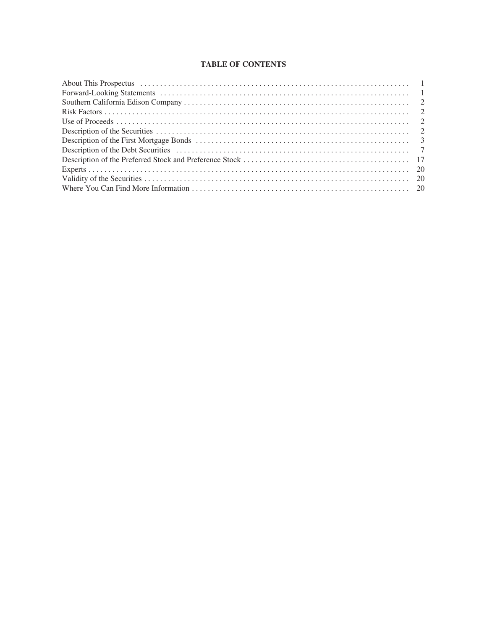# **TABLE OF CONTENTS**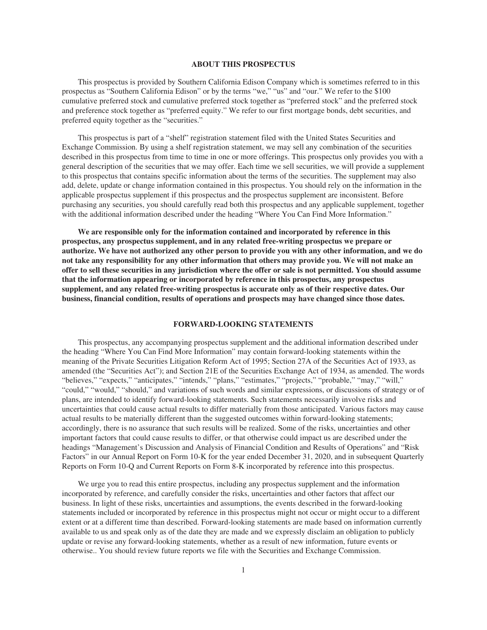# **ABOUT THIS PROSPECTUS**

<span id="page-28-0"></span>This prospectus is provided by Southern California Edison Company which is sometimes referred to in this prospectus as "Southern California Edison" or by the terms "we," "us" and "our." We refer to the \$100 cumulative preferred stock and cumulative preferred stock together as "preferred stock" and the preferred stock and preference stock together as "preferred equity." We refer to our first mortgage bonds, debt securities, and preferred equity together as the "securities."

This prospectus is part of a "shelf" registration statement filed with the United States Securities and Exchange Commission. By using a shelf registration statement, we may sell any combination of the securities described in this prospectus from time to time in one or more offerings. This prospectus only provides you with a general description of the securities that we may offer. Each time we sell securities, we will provide a supplement to this prospectus that contains specific information about the terms of the securities. The supplement may also add, delete, update or change information contained in this prospectus. You should rely on the information in the applicable prospectus supplement if this prospectus and the prospectus supplement are inconsistent. Before purchasing any securities, you should carefully read both this prospectus and any applicable supplement, together with the additional information described under the heading "Where You Can Find More Information."

**We are responsible only for the information contained and incorporated by reference in this prospectus, any prospectus supplement, and in any related free-writing prospectus we prepare or authorize. We have not authorized any other person to provide you with any other information, and we do not take any responsibility for any other information that others may provide you. We will not make an offer to sell these securities in any jurisdiction where the offer or sale is not permitted. You should assume that the information appearing or incorporated by reference in this prospectus, any prospectus supplement, and any related free-writing prospectus is accurate only as of their respective dates. Our business, financial condition, results of operations and prospects may have changed since those dates.**

# **FORWARD-LOOKING STATEMENTS**

<span id="page-28-1"></span>This prospectus, any accompanying prospectus supplement and the additional information described under the heading "Where You Can Find More Information" may contain forward-looking statements within the meaning of the Private Securities Litigation Reform Act of 1995; Section 27A of the Securities Act of 1933, as amended (the "Securities Act"); and Section 21E of the Securities Exchange Act of 1934, as amended. The words "believes," "expects," "anticipates," "intends," "plans," "estimates," "projects," "probable," "may," "will," "could," "would," "should," and variations of such words and similar expressions, or discussions of strategy or of plans, are intended to identify forward-looking statements. Such statements necessarily involve risks and uncertainties that could cause actual results to differ materially from those anticipated. Various factors may cause actual results to be materially different than the suggested outcomes within forward-looking statements; accordingly, there is no assurance that such results will be realized. Some of the risks, uncertainties and other important factors that could cause results to differ, or that otherwise could impact us are described under the headings "Management's Discussion and Analysis of Financial Condition and Results of Operations" and "Risk Factors" in our Annual Report on Form 10-K for the year ended December 31, 2020, and in subsequent Quarterly Reports on Form 10-Q and Current Reports on Form 8-K incorporated by reference into this prospectus.

We urge you to read this entire prospectus, including any prospectus supplement and the information incorporated by reference, and carefully consider the risks, uncertainties and other factors that affect our business. In light of these risks, uncertainties and assumptions, the events described in the forward-looking statements included or incorporated by reference in this prospectus might not occur or might occur to a different extent or at a different time than described. Forward-looking statements are made based on information currently available to us and speak only as of the date they are made and we expressly disclaim an obligation to publicly update or revise any forward-looking statements, whether as a result of new information, future events or otherwise.. You should review future reports we file with the Securities and Exchange Commission.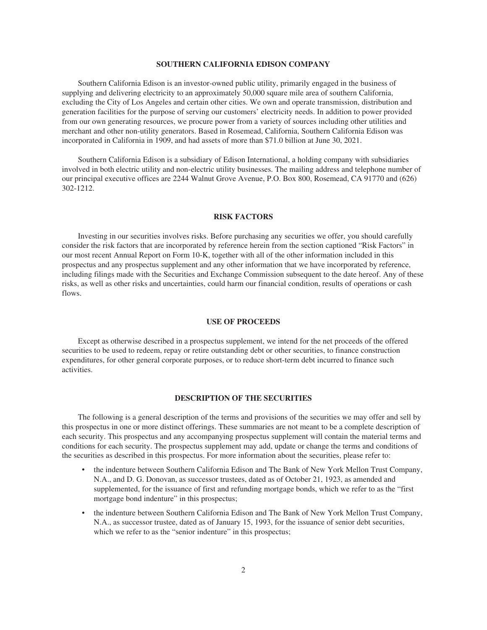# **SOUTHERN CALIFORNIA EDISON COMPANY**

<span id="page-29-1"></span>Southern California Edison is an investor-owned public utility, primarily engaged in the business of supplying and delivering electricity to an approximately 50,000 square mile area of southern California, excluding the City of Los Angeles and certain other cities. We own and operate transmission, distribution and generation facilities for the purpose of serving our customers' electricity needs. In addition to power provided from our own generating resources, we procure power from a variety of sources including other utilities and merchant and other non-utility generators. Based in Rosemead, California, Southern California Edison was incorporated in California in 1909, and had assets of more than \$71.0 billion at June 30, 2021.

Southern California Edison is a subsidiary of Edison International, a holding company with subsidiaries involved in both electric utility and non-electric utility businesses. The mailing address and telephone number of our principal executive offices are 2244 Walnut Grove Avenue, P.O. Box 800, Rosemead, CA 91770 and (626) 302-1212.

# **RISK FACTORS**

<span id="page-29-0"></span>Investing in our securities involves risks. Before purchasing any securities we offer, you should carefully consider the risk factors that are incorporated by reference herein from the section captioned "Risk Factors" in our most recent Annual Report on Form 10-K, together with all of the other information included in this prospectus and any prospectus supplement and any other information that we have incorporated by reference, including filings made with the Securities and Exchange Commission subsequent to the date hereof. Any of these risks, as well as other risks and uncertainties, could harm our financial condition, results of operations or cash flows.

# **USE OF PROCEEDS**

<span id="page-29-2"></span>Except as otherwise described in a prospectus supplement, we intend for the net proceeds of the offered securities to be used to redeem, repay or retire outstanding debt or other securities, to finance construction expenditures, for other general corporate purposes, or to reduce short-term debt incurred to finance such activities.

# **DESCRIPTION OF THE SECURITIES**

<span id="page-29-3"></span>The following is a general description of the terms and provisions of the securities we may offer and sell by this prospectus in one or more distinct offerings. These summaries are not meant to be a complete description of each security. This prospectus and any accompanying prospectus supplement will contain the material terms and conditions for each security. The prospectus supplement may add, update or change the terms and conditions of the securities as described in this prospectus. For more information about the securities, please refer to:

- the indenture between Southern California Edison and The Bank of New York Mellon Trust Company, N.A., and D. G. Donovan, as successor trustees, dated as of October 21, 1923, as amended and supplemented, for the issuance of first and refunding mortgage bonds, which we refer to as the "first mortgage bond indenture" in this prospectus;
- the indenture between Southern California Edison and The Bank of New York Mellon Trust Company, N.A., as successor trustee, dated as of January 15, 1993, for the issuance of senior debt securities, which we refer to as the "senior indenture" in this prospectus;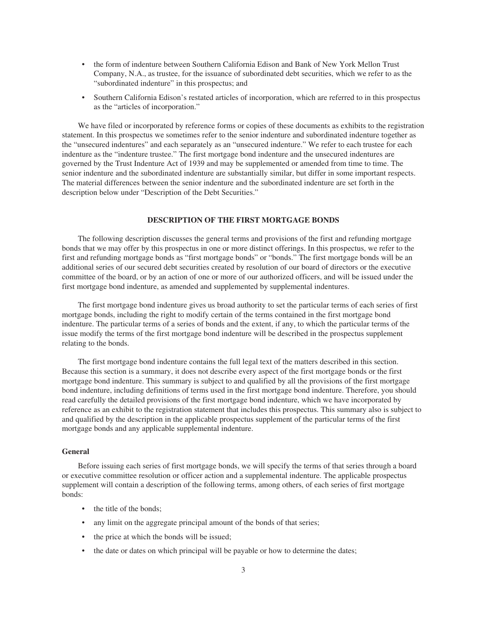- the form of indenture between Southern California Edison and Bank of New York Mellon Trust Company, N.A., as trustee, for the issuance of subordinated debt securities, which we refer to as the "subordinated indenture" in this prospectus; and
- Southern California Edison's restated articles of incorporation, which are referred to in this prospectus as the "articles of incorporation."

We have filed or incorporated by reference forms or copies of these documents as exhibits to the registration statement. In this prospectus we sometimes refer to the senior indenture and subordinated indenture together as the "unsecured indentures" and each separately as an "unsecured indenture." We refer to each trustee for each indenture as the "indenture trustee." The first mortgage bond indenture and the unsecured indentures are governed by the Trust Indenture Act of 1939 and may be supplemented or amended from time to time. The senior indenture and the subordinated indenture are substantially similar, but differ in some important respects. The material differences between the senior indenture and the subordinated indenture are set forth in the description below under "Description of the Debt Securities."

# **DESCRIPTION OF THE FIRST MORTGAGE BONDS**

<span id="page-30-0"></span>The following description discusses the general terms and provisions of the first and refunding mortgage bonds that we may offer by this prospectus in one or more distinct offerings. In this prospectus, we refer to the first and refunding mortgage bonds as "first mortgage bonds" or "bonds." The first mortgage bonds will be an additional series of our secured debt securities created by resolution of our board of directors or the executive committee of the board, or by an action of one or more of our authorized officers, and will be issued under the first mortgage bond indenture, as amended and supplemented by supplemental indentures.

The first mortgage bond indenture gives us broad authority to set the particular terms of each series of first mortgage bonds, including the right to modify certain of the terms contained in the first mortgage bond indenture. The particular terms of a series of bonds and the extent, if any, to which the particular terms of the issue modify the terms of the first mortgage bond indenture will be described in the prospectus supplement relating to the bonds.

The first mortgage bond indenture contains the full legal text of the matters described in this section. Because this section is a summary, it does not describe every aspect of the first mortgage bonds or the first mortgage bond indenture. This summary is subject to and qualified by all the provisions of the first mortgage bond indenture, including definitions of terms used in the first mortgage bond indenture. Therefore, you should read carefully the detailed provisions of the first mortgage bond indenture, which we have incorporated by reference as an exhibit to the registration statement that includes this prospectus. This summary also is subject to and qualified by the description in the applicable prospectus supplement of the particular terms of the first mortgage bonds and any applicable supplemental indenture.

# **General**

Before issuing each series of first mortgage bonds, we will specify the terms of that series through a board or executive committee resolution or officer action and a supplemental indenture. The applicable prospectus supplement will contain a description of the following terms, among others, of each series of first mortgage bonds:

- the title of the bonds:
- any limit on the aggregate principal amount of the bonds of that series;
- the price at which the bonds will be issued;
- the date or dates on which principal will be payable or how to determine the dates;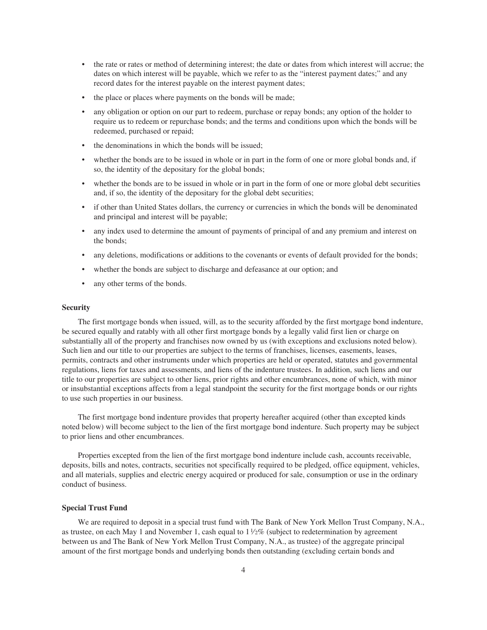- the rate or rates or method of determining interest; the date or dates from which interest will accrue; the dates on which interest will be payable, which we refer to as the "interest payment dates;" and any record dates for the interest payable on the interest payment dates;
- the place or places where payments on the bonds will be made;
- any obligation or option on our part to redeem, purchase or repay bonds; any option of the holder to require us to redeem or repurchase bonds; and the terms and conditions upon which the bonds will be redeemed, purchased or repaid;
- the denominations in which the bonds will be issued;
- whether the bonds are to be issued in whole or in part in the form of one or more global bonds and, if so, the identity of the depositary for the global bonds;
- whether the bonds are to be issued in whole or in part in the form of one or more global debt securities and, if so, the identity of the depositary for the global debt securities;
- if other than United States dollars, the currency or currencies in which the bonds will be denominated and principal and interest will be payable;
- any index used to determine the amount of payments of principal of and any premium and interest on the bonds;
- any deletions, modifications or additions to the covenants or events of default provided for the bonds;
- whether the bonds are subject to discharge and defeasance at our option; and
- any other terms of the bonds.

# **Security**

The first mortgage bonds when issued, will, as to the security afforded by the first mortgage bond indenture, be secured equally and ratably with all other first mortgage bonds by a legally valid first lien or charge on substantially all of the property and franchises now owned by us (with exceptions and exclusions noted below). Such lien and our title to our properties are subject to the terms of franchises, licenses, easements, leases, permits, contracts and other instruments under which properties are held or operated, statutes and governmental regulations, liens for taxes and assessments, and liens of the indenture trustees. In addition, such liens and our title to our properties are subject to other liens, prior rights and other encumbrances, none of which, with minor or insubstantial exceptions affects from a legal standpoint the security for the first mortgage bonds or our rights to use such properties in our business.

The first mortgage bond indenture provides that property hereafter acquired (other than excepted kinds noted below) will become subject to the lien of the first mortgage bond indenture. Such property may be subject to prior liens and other encumbrances.

Properties excepted from the lien of the first mortgage bond indenture include cash, accounts receivable, deposits, bills and notes, contracts, securities not specifically required to be pledged, office equipment, vehicles, and all materials, supplies and electric energy acquired or produced for sale, consumption or use in the ordinary conduct of business.

# **Special Trust Fund**

We are required to deposit in a special trust fund with The Bank of New York Mellon Trust Company, N.A., as trustee, on each May 1 and November 1, cash equal to  $1\frac{1}{2}\%$  (subject to redetermination by agreement between us and The Bank of New York Mellon Trust Company, N.A., as trustee) of the aggregate principal amount of the first mortgage bonds and underlying bonds then outstanding (excluding certain bonds and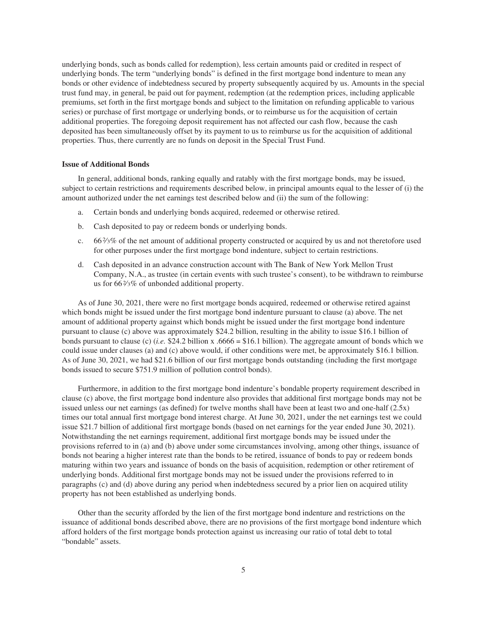underlying bonds, such as bonds called for redemption), less certain amounts paid or credited in respect of underlying bonds. The term "underlying bonds" is defined in the first mortgage bond indenture to mean any bonds or other evidence of indebtedness secured by property subsequently acquired by us. Amounts in the special trust fund may, in general, be paid out for payment, redemption (at the redemption prices, including applicable premiums, set forth in the first mortgage bonds and subject to the limitation on refunding applicable to various series) or purchase of first mortgage or underlying bonds, or to reimburse us for the acquisition of certain additional properties. The foregoing deposit requirement has not affected our cash flow, because the cash deposited has been simultaneously offset by its payment to us to reimburse us for the acquisition of additional properties. Thus, there currently are no funds on deposit in the Special Trust Fund.

# **Issue of Additional Bonds**

In general, additional bonds, ranking equally and ratably with the first mortgage bonds, may be issued, subject to certain restrictions and requirements described below, in principal amounts equal to the lesser of (i) the amount authorized under the net earnings test described below and (ii) the sum of the following:

- a. Certain bonds and underlying bonds acquired, redeemed or otherwise retired.
- b. Cash deposited to pay or redeem bonds or underlying bonds.
- c. 662⁄3% of the net amount of additional property constructed or acquired by us and not theretofore used for other purposes under the first mortgage bond indenture, subject to certain restrictions.
- d. Cash deposited in an advance construction account with The Bank of New York Mellon Trust Company, N.A., as trustee (in certain events with such trustee's consent), to be withdrawn to reimburse us for 662⁄3% of unbonded additional property.

As of June 30, 2021, there were no first mortgage bonds acquired, redeemed or otherwise retired against which bonds might be issued under the first mortgage bond indenture pursuant to clause (a) above. The net amount of additional property against which bonds might be issued under the first mortgage bond indenture pursuant to clause (c) above was approximately \$24.2 billion, resulting in the ability to issue \$16.1 billion of bonds pursuant to clause (c) (*i.e.* \$24.2 billion x .6666 = \$16.1 billion). The aggregate amount of bonds which we could issue under clauses (a) and (c) above would, if other conditions were met, be approximately \$16.1 billion. As of June 30, 2021, we had \$21.6 billion of our first mortgage bonds outstanding (including the first mortgage bonds issued to secure \$751.9 million of pollution control bonds).

Furthermore, in addition to the first mortgage bond indenture's bondable property requirement described in clause (c) above, the first mortgage bond indenture also provides that additional first mortgage bonds may not be issued unless our net earnings (as defined) for twelve months shall have been at least two and one-half (2.5x) times our total annual first mortgage bond interest charge. At June 30, 2021, under the net earnings test we could issue \$21.7 billion of additional first mortgage bonds (based on net earnings for the year ended June 30, 2021). Notwithstanding the net earnings requirement, additional first mortgage bonds may be issued under the provisions referred to in (a) and (b) above under some circumstances involving, among other things, issuance of bonds not bearing a higher interest rate than the bonds to be retired, issuance of bonds to pay or redeem bonds maturing within two years and issuance of bonds on the basis of acquisition, redemption or other retirement of underlying bonds. Additional first mortgage bonds may not be issued under the provisions referred to in paragraphs (c) and (d) above during any period when indebtedness secured by a prior lien on acquired utility property has not been established as underlying bonds.

Other than the security afforded by the lien of the first mortgage bond indenture and restrictions on the issuance of additional bonds described above, there are no provisions of the first mortgage bond indenture which afford holders of the first mortgage bonds protection against us increasing our ratio of total debt to total "bondable" assets.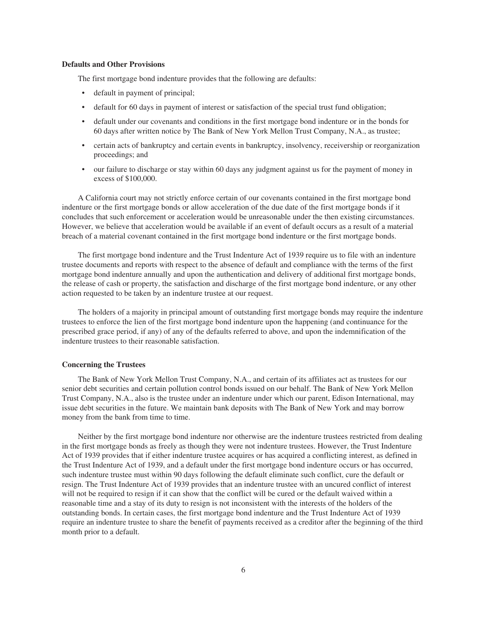# **Defaults and Other Provisions**

The first mortgage bond indenture provides that the following are defaults:

- default in payment of principal;
- default for 60 days in payment of interest or satisfaction of the special trust fund obligation;
- default under our covenants and conditions in the first mortgage bond indenture or in the bonds for 60 days after written notice by The Bank of New York Mellon Trust Company, N.A., as trustee;
- certain acts of bankruptcy and certain events in bankruptcy, insolvency, receivership or reorganization proceedings; and
- our failure to discharge or stay within 60 days any judgment against us for the payment of money in excess of \$100,000.

A California court may not strictly enforce certain of our covenants contained in the first mortgage bond indenture or the first mortgage bonds or allow acceleration of the due date of the first mortgage bonds if it concludes that such enforcement or acceleration would be unreasonable under the then existing circumstances. However, we believe that acceleration would be available if an event of default occurs as a result of a material breach of a material covenant contained in the first mortgage bond indenture or the first mortgage bonds.

The first mortgage bond indenture and the Trust Indenture Act of 1939 require us to file with an indenture trustee documents and reports with respect to the absence of default and compliance with the terms of the first mortgage bond indenture annually and upon the authentication and delivery of additional first mortgage bonds, the release of cash or property, the satisfaction and discharge of the first mortgage bond indenture, or any other action requested to be taken by an indenture trustee at our request.

The holders of a majority in principal amount of outstanding first mortgage bonds may require the indenture trustees to enforce the lien of the first mortgage bond indenture upon the happening (and continuance for the prescribed grace period, if any) of any of the defaults referred to above, and upon the indemnification of the indenture trustees to their reasonable satisfaction.

# **Concerning the Trustees**

The Bank of New York Mellon Trust Company, N.A., and certain of its affiliates act as trustees for our senior debt securities and certain pollution control bonds issued on our behalf. The Bank of New York Mellon Trust Company, N.A., also is the trustee under an indenture under which our parent, Edison International, may issue debt securities in the future. We maintain bank deposits with The Bank of New York and may borrow money from the bank from time to time.

Neither by the first mortgage bond indenture nor otherwise are the indenture trustees restricted from dealing in the first mortgage bonds as freely as though they were not indenture trustees. However, the Trust Indenture Act of 1939 provides that if either indenture trustee acquires or has acquired a conflicting interest, as defined in the Trust Indenture Act of 1939, and a default under the first mortgage bond indenture occurs or has occurred, such indenture trustee must within 90 days following the default eliminate such conflict, cure the default or resign. The Trust Indenture Act of 1939 provides that an indenture trustee with an uncured conflict of interest will not be required to resign if it can show that the conflict will be cured or the default waived within a reasonable time and a stay of its duty to resign is not inconsistent with the interests of the holders of the outstanding bonds. In certain cases, the first mortgage bond indenture and the Trust Indenture Act of 1939 require an indenture trustee to share the benefit of payments received as a creditor after the beginning of the third month prior to a default.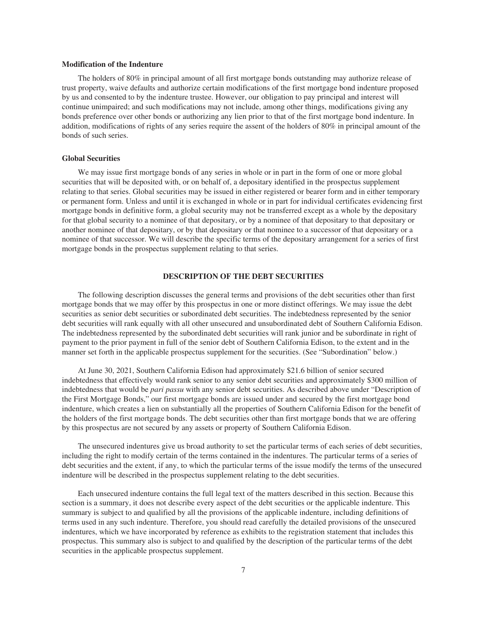# **Modification of the Indenture**

The holders of 80% in principal amount of all first mortgage bonds outstanding may authorize release of trust property, waive defaults and authorize certain modifications of the first mortgage bond indenture proposed by us and consented to by the indenture trustee. However, our obligation to pay principal and interest will continue unimpaired; and such modifications may not include, among other things, modifications giving any bonds preference over other bonds or authorizing any lien prior to that of the first mortgage bond indenture. In addition, modifications of rights of any series require the assent of the holders of 80% in principal amount of the bonds of such series.

# **Global Securities**

We may issue first mortgage bonds of any series in whole or in part in the form of one or more global securities that will be deposited with, or on behalf of, a depositary identified in the prospectus supplement relating to that series. Global securities may be issued in either registered or bearer form and in either temporary or permanent form. Unless and until it is exchanged in whole or in part for individual certificates evidencing first mortgage bonds in definitive form, a global security may not be transferred except as a whole by the depositary for that global security to a nominee of that depositary, or by a nominee of that depositary to that depositary or another nominee of that depositary, or by that depositary or that nominee to a successor of that depositary or a nominee of that successor. We will describe the specific terms of the depositary arrangement for a series of first mortgage bonds in the prospectus supplement relating to that series.

# **DESCRIPTION OF THE DEBT SECURITIES**

<span id="page-34-0"></span>The following description discusses the general terms and provisions of the debt securities other than first mortgage bonds that we may offer by this prospectus in one or more distinct offerings. We may issue the debt securities as senior debt securities or subordinated debt securities. The indebtedness represented by the senior debt securities will rank equally with all other unsecured and unsubordinated debt of Southern California Edison. The indebtedness represented by the subordinated debt securities will rank junior and be subordinate in right of payment to the prior payment in full of the senior debt of Southern California Edison, to the extent and in the manner set forth in the applicable prospectus supplement for the securities. (See "Subordination" below.)

At June 30, 2021, Southern California Edison had approximately \$21.6 billion of senior secured indebtedness that effectively would rank senior to any senior debt securities and approximately \$300 million of indebtedness that would be *pari passu* with any senior debt securities. As described above under "Description of the First Mortgage Bonds," our first mortgage bonds are issued under and secured by the first mortgage bond indenture, which creates a lien on substantially all the properties of Southern California Edison for the benefit of the holders of the first mortgage bonds. The debt securities other than first mortgage bonds that we are offering by this prospectus are not secured by any assets or property of Southern California Edison.

The unsecured indentures give us broad authority to set the particular terms of each series of debt securities, including the right to modify certain of the terms contained in the indentures. The particular terms of a series of debt securities and the extent, if any, to which the particular terms of the issue modify the terms of the unsecured indenture will be described in the prospectus supplement relating to the debt securities.

Each unsecured indenture contains the full legal text of the matters described in this section. Because this section is a summary, it does not describe every aspect of the debt securities or the applicable indenture. This summary is subject to and qualified by all the provisions of the applicable indenture, including definitions of terms used in any such indenture. Therefore, you should read carefully the detailed provisions of the unsecured indentures, which we have incorporated by reference as exhibits to the registration statement that includes this prospectus. This summary also is subject to and qualified by the description of the particular terms of the debt securities in the applicable prospectus supplement.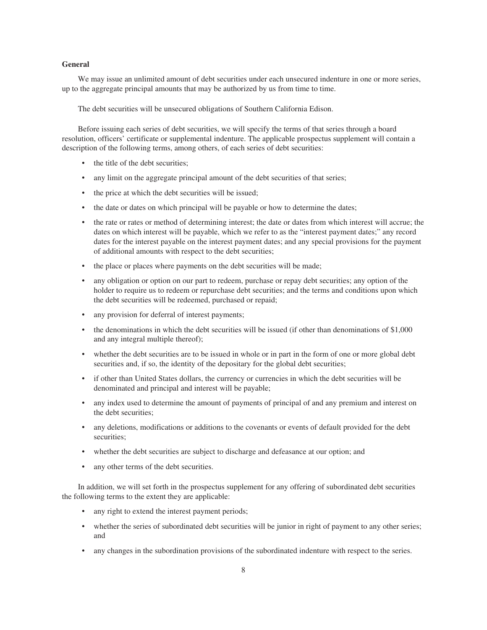# **General**

We may issue an unlimited amount of debt securities under each unsecured indenture in one or more series, up to the aggregate principal amounts that may be authorized by us from time to time.

The debt securities will be unsecured obligations of Southern California Edison.

Before issuing each series of debt securities, we will specify the terms of that series through a board resolution, officers' certificate or supplemental indenture. The applicable prospectus supplement will contain a description of the following terms, among others, of each series of debt securities:

- the title of the debt securities;
- any limit on the aggregate principal amount of the debt securities of that series;
- the price at which the debt securities will be issued;
- the date or dates on which principal will be payable or how to determine the dates;
- the rate or rates or method of determining interest; the date or dates from which interest will accrue; the dates on which interest will be payable, which we refer to as the "interest payment dates;" any record dates for the interest payable on the interest payment dates; and any special provisions for the payment of additional amounts with respect to the debt securities;
- the place or places where payments on the debt securities will be made;
- any obligation or option on our part to redeem, purchase or repay debt securities; any option of the holder to require us to redeem or repurchase debt securities; and the terms and conditions upon which the debt securities will be redeemed, purchased or repaid;
- any provision for deferral of interest payments;
- the denominations in which the debt securities will be issued (if other than denominations of \$1,000 and any integral multiple thereof);
- whether the debt securities are to be issued in whole or in part in the form of one or more global debt securities and, if so, the identity of the depositary for the global debt securities;
- if other than United States dollars, the currency or currencies in which the debt securities will be denominated and principal and interest will be payable;
- any index used to determine the amount of payments of principal of and any premium and interest on the debt securities;
- any deletions, modifications or additions to the covenants or events of default provided for the debt securities;
- whether the debt securities are subject to discharge and defeasance at our option; and
- any other terms of the debt securities.

In addition, we will set forth in the prospectus supplement for any offering of subordinated debt securities the following terms to the extent they are applicable:

- any right to extend the interest payment periods;
- whether the series of subordinated debt securities will be junior in right of payment to any other series; and
- any changes in the subordination provisions of the subordinated indenture with respect to the series.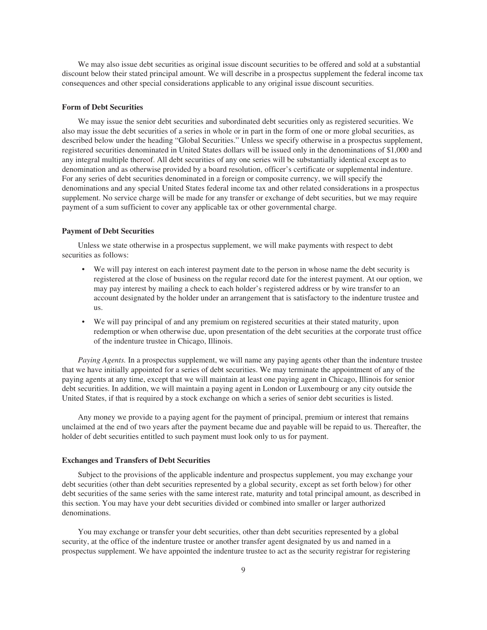We may also issue debt securities as original issue discount securities to be offered and sold at a substantial discount below their stated principal amount. We will describe in a prospectus supplement the federal income tax consequences and other special considerations applicable to any original issue discount securities.

# **Form of Debt Securities**

We may issue the senior debt securities and subordinated debt securities only as registered securities. We also may issue the debt securities of a series in whole or in part in the form of one or more global securities, as described below under the heading "Global Securities." Unless we specify otherwise in a prospectus supplement, registered securities denominated in United States dollars will be issued only in the denominations of \$1,000 and any integral multiple thereof. All debt securities of any one series will be substantially identical except as to denomination and as otherwise provided by a board resolution, officer's certificate or supplemental indenture. For any series of debt securities denominated in a foreign or composite currency, we will specify the denominations and any special United States federal income tax and other related considerations in a prospectus supplement. No service charge will be made for any transfer or exchange of debt securities, but we may require payment of a sum sufficient to cover any applicable tax or other governmental charge.

# **Payment of Debt Securities**

Unless we state otherwise in a prospectus supplement, we will make payments with respect to debt securities as follows:

- We will pay interest on each interest payment date to the person in whose name the debt security is registered at the close of business on the regular record date for the interest payment. At our option, we may pay interest by mailing a check to each holder's registered address or by wire transfer to an account designated by the holder under an arrangement that is satisfactory to the indenture trustee and us.
- We will pay principal of and any premium on registered securities at their stated maturity, upon redemption or when otherwise due, upon presentation of the debt securities at the corporate trust office of the indenture trustee in Chicago, Illinois.

*Paying Agents.* In a prospectus supplement, we will name any paying agents other than the indenture trustee that we have initially appointed for a series of debt securities. We may terminate the appointment of any of the paying agents at any time, except that we will maintain at least one paying agent in Chicago, Illinois for senior debt securities. In addition, we will maintain a paying agent in London or Luxembourg or any city outside the United States, if that is required by a stock exchange on which a series of senior debt securities is listed.

Any money we provide to a paying agent for the payment of principal, premium or interest that remains unclaimed at the end of two years after the payment became due and payable will be repaid to us. Thereafter, the holder of debt securities entitled to such payment must look only to us for payment.

#### **Exchanges and Transfers of Debt Securities**

Subject to the provisions of the applicable indenture and prospectus supplement, you may exchange your debt securities (other than debt securities represented by a global security, except as set forth below) for other debt securities of the same series with the same interest rate, maturity and total principal amount, as described in this section. You may have your debt securities divided or combined into smaller or larger authorized denominations.

You may exchange or transfer your debt securities, other than debt securities represented by a global security, at the office of the indenture trustee or another transfer agent designated by us and named in a prospectus supplement. We have appointed the indenture trustee to act as the security registrar for registering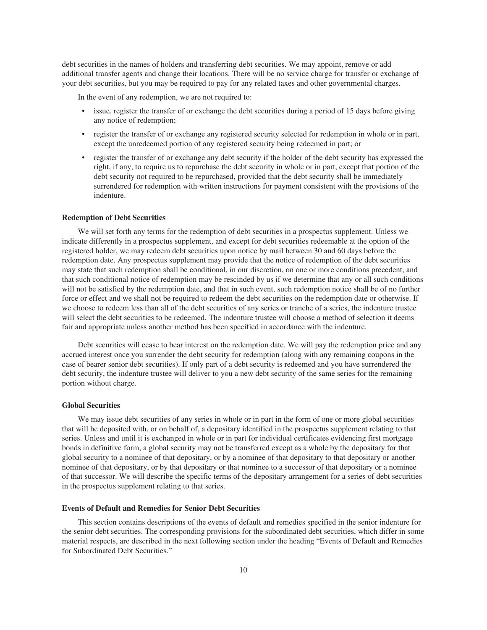debt securities in the names of holders and transferring debt securities. We may appoint, remove or add additional transfer agents and change their locations. There will be no service charge for transfer or exchange of your debt securities, but you may be required to pay for any related taxes and other governmental charges.

In the event of any redemption, we are not required to:

- issue, register the transfer of or exchange the debt securities during a period of 15 days before giving any notice of redemption;
- register the transfer of or exchange any registered security selected for redemption in whole or in part, except the unredeemed portion of any registered security being redeemed in part; or
- register the transfer of or exchange any debt security if the holder of the debt security has expressed the right, if any, to require us to repurchase the debt security in whole or in part, except that portion of the debt security not required to be repurchased, provided that the debt security shall be immediately surrendered for redemption with written instructions for payment consistent with the provisions of the indenture.

#### **Redemption of Debt Securities**

We will set forth any terms for the redemption of debt securities in a prospectus supplement. Unless we indicate differently in a prospectus supplement, and except for debt securities redeemable at the option of the registered holder, we may redeem debt securities upon notice by mail between 30 and 60 days before the redemption date. Any prospectus supplement may provide that the notice of redemption of the debt securities may state that such redemption shall be conditional, in our discretion, on one or more conditions precedent, and that such conditional notice of redemption may be rescinded by us if we determine that any or all such conditions will not be satisfied by the redemption date, and that in such event, such redemption notice shall be of no further force or effect and we shall not be required to redeem the debt securities on the redemption date or otherwise. If we choose to redeem less than all of the debt securities of any series or tranche of a series, the indenture trustee will select the debt securities to be redeemed. The indenture trustee will choose a method of selection it deems fair and appropriate unless another method has been specified in accordance with the indenture.

Debt securities will cease to bear interest on the redemption date. We will pay the redemption price and any accrued interest once you surrender the debt security for redemption (along with any remaining coupons in the case of bearer senior debt securities). If only part of a debt security is redeemed and you have surrendered the debt security, the indenture trustee will deliver to you a new debt security of the same series for the remaining portion without charge.

# **Global Securities**

We may issue debt securities of any series in whole or in part in the form of one or more global securities that will be deposited with, or on behalf of, a depositary identified in the prospectus supplement relating to that series. Unless and until it is exchanged in whole or in part for individual certificates evidencing first mortgage bonds in definitive form, a global security may not be transferred except as a whole by the depositary for that global security to a nominee of that depositary, or by a nominee of that depositary to that depositary or another nominee of that depositary, or by that depositary or that nominee to a successor of that depositary or a nominee of that successor. We will describe the specific terms of the depositary arrangement for a series of debt securities in the prospectus supplement relating to that series.

# **Events of Default and Remedies for Senior Debt Securities**

This section contains descriptions of the events of default and remedies specified in the senior indenture for the senior debt securities. The corresponding provisions for the subordinated debt securities, which differ in some material respects, are described in the next following section under the heading "Events of Default and Remedies for Subordinated Debt Securities."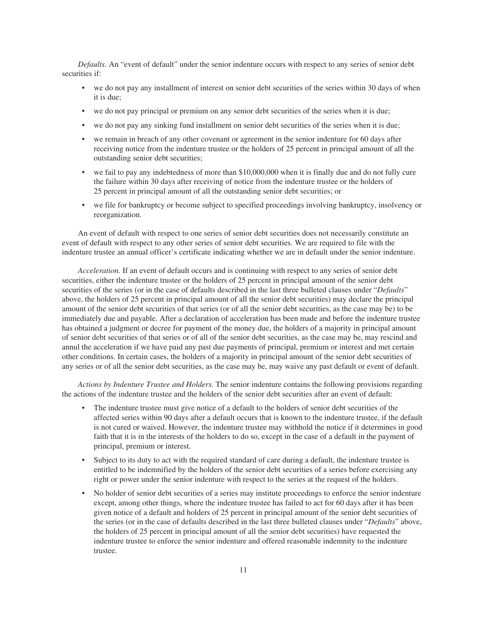*Defaults.* An "event of default" under the senior indenture occurs with respect to any series of senior debt securities if:

- we do not pay any installment of interest on senior debt securities of the series within 30 days of when it is due;
- we do not pay principal or premium on any senior debt securities of the series when it is due;
- we do not pay any sinking fund installment on senior debt securities of the series when it is due;
- we remain in breach of any other covenant or agreement in the senior indenture for 60 days after receiving notice from the indenture trustee or the holders of 25 percent in principal amount of all the outstanding senior debt securities;
- we fail to pay any indebtedness of more than \$10,000,000 when it is finally due and do not fully cure the failure within 30 days after receiving of notice from the indenture trustee or the holders of 25 percent in principal amount of all the outstanding senior debt securities; or
- we file for bankruptcy or become subject to specified proceedings involving bankruptcy, insolvency or reorganization.

An event of default with respect to one series of senior debt securities does not necessarily constitute an event of default with respect to any other series of senior debt securities. We are required to file with the indenture trustee an annual officer's certificate indicating whether we are in default under the senior indenture.

*Acceleration.* If an event of default occurs and is continuing with respect to any series of senior debt securities, either the indenture trustee or the holders of 25 percent in principal amount of the senior debt securities of the series (or in the case of defaults described in the last three bulleted clauses under "*Defaults*" above, the holders of 25 percent in principal amount of all the senior debt securities) may declare the principal amount of the senior debt securities of that series (or of all the senior debt securities, as the case may be) to be immediately due and payable. After a declaration of acceleration has been made and before the indenture trustee has obtained a judgment or decree for payment of the money due, the holders of a majority in principal amount of senior debt securities of that series or of all of the senior debt securities, as the case may be, may rescind and annul the acceleration if we have paid any past due payments of principal, premium or interest and met certain other conditions. In certain cases, the holders of a majority in principal amount of the senior debt securities of any series or of all the senior debt securities, as the case may be, may waive any past default or event of default.

*Actions by Indenture Trustee and Holders.* The senior indenture contains the following provisions regarding the actions of the indenture trustee and the holders of the senior debt securities after an event of default:

- The indenture trustee must give notice of a default to the holders of senior debt securities of the affected series within 90 days after a default occurs that is known to the indenture trustee, if the default is not cured or waived. However, the indenture trustee may withhold the notice if it determines in good faith that it is in the interests of the holders to do so, except in the case of a default in the payment of principal, premium or interest.
- Subject to its duty to act with the required standard of care during a default, the indenture trustee is entitled to be indemnified by the holders of the senior debt securities of a series before exercising any right or power under the senior indenture with respect to the series at the request of the holders.
- No holder of senior debt securities of a series may institute proceedings to enforce the senior indenture except, among other things, where the indenture trustee has failed to act for 60 days after it has been given notice of a default and holders of 25 percent in principal amount of the senior debt securities of the series (or in the case of defaults described in the last three bulleted clauses under "*Defaults*" above, the holders of 25 percent in principal amount of all the senior debt securities) have requested the indenture trustee to enforce the senior indenture and offered reasonable indemnity to the indenture trustee.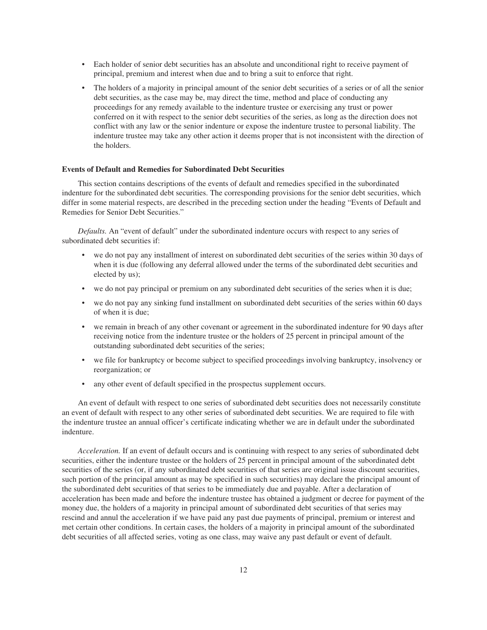- Each holder of senior debt securities has an absolute and unconditional right to receive payment of principal, premium and interest when due and to bring a suit to enforce that right.
- The holders of a majority in principal amount of the senior debt securities of a series or of all the senior debt securities, as the case may be, may direct the time, method and place of conducting any proceedings for any remedy available to the indenture trustee or exercising any trust or power conferred on it with respect to the senior debt securities of the series, as long as the direction does not conflict with any law or the senior indenture or expose the indenture trustee to personal liability. The indenture trustee may take any other action it deems proper that is not inconsistent with the direction of the holders.

#### **Events of Default and Remedies for Subordinated Debt Securities**

This section contains descriptions of the events of default and remedies specified in the subordinated indenture for the subordinated debt securities. The corresponding provisions for the senior debt securities, which differ in some material respects, are described in the preceding section under the heading "Events of Default and Remedies for Senior Debt Securities."

*Defaults.* An "event of default" under the subordinated indenture occurs with respect to any series of subordinated debt securities if:

- we do not pay any installment of interest on subordinated debt securities of the series within 30 days of when it is due (following any deferral allowed under the terms of the subordinated debt securities and elected by us);
- we do not pay principal or premium on any subordinated debt securities of the series when it is due;
- we do not pay any sinking fund installment on subordinated debt securities of the series within 60 days of when it is due;
- we remain in breach of any other covenant or agreement in the subordinated indenture for 90 days after receiving notice from the indenture trustee or the holders of 25 percent in principal amount of the outstanding subordinated debt securities of the series;
- we file for bankruptcy or become subject to specified proceedings involving bankruptcy, insolvency or reorganization; or
- any other event of default specified in the prospectus supplement occurs.

An event of default with respect to one series of subordinated debt securities does not necessarily constitute an event of default with respect to any other series of subordinated debt securities. We are required to file with the indenture trustee an annual officer's certificate indicating whether we are in default under the subordinated indenture.

*Acceleration.* If an event of default occurs and is continuing with respect to any series of subordinated debt securities, either the indenture trustee or the holders of 25 percent in principal amount of the subordinated debt securities of the series (or, if any subordinated debt securities of that series are original issue discount securities, such portion of the principal amount as may be specified in such securities) may declare the principal amount of the subordinated debt securities of that series to be immediately due and payable. After a declaration of acceleration has been made and before the indenture trustee has obtained a judgment or decree for payment of the money due, the holders of a majority in principal amount of subordinated debt securities of that series may rescind and annul the acceleration if we have paid any past due payments of principal, premium or interest and met certain other conditions. In certain cases, the holders of a majority in principal amount of the subordinated debt securities of all affected series, voting as one class, may waive any past default or event of default.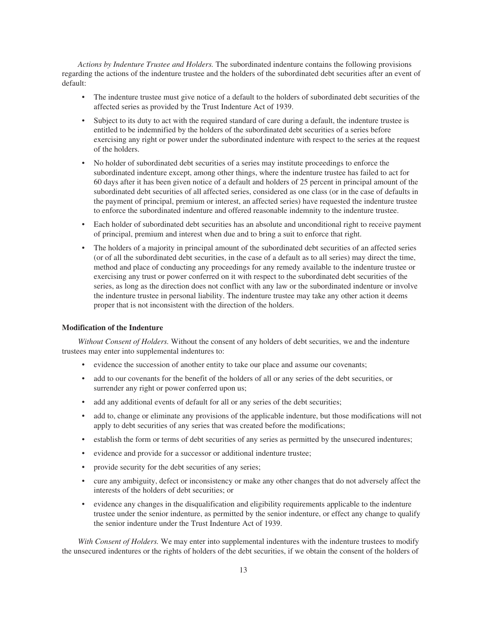*Actions by Indenture Trustee and Holders.* The subordinated indenture contains the following provisions regarding the actions of the indenture trustee and the holders of the subordinated debt securities after an event of default:

- The indenture trustee must give notice of a default to the holders of subordinated debt securities of the affected series as provided by the Trust Indenture Act of 1939.
- Subject to its duty to act with the required standard of care during a default, the indenture trustee is entitled to be indemnified by the holders of the subordinated debt securities of a series before exercising any right or power under the subordinated indenture with respect to the series at the request of the holders.
- No holder of subordinated debt securities of a series may institute proceedings to enforce the subordinated indenture except, among other things, where the indenture trustee has failed to act for 60 days after it has been given notice of a default and holders of 25 percent in principal amount of the subordinated debt securities of all affected series, considered as one class (or in the case of defaults in the payment of principal, premium or interest, an affected series) have requested the indenture trustee to enforce the subordinated indenture and offered reasonable indemnity to the indenture trustee.
- Each holder of subordinated debt securities has an absolute and unconditional right to receive payment of principal, premium and interest when due and to bring a suit to enforce that right.
- The holders of a majority in principal amount of the subordinated debt securities of an affected series (or of all the subordinated debt securities, in the case of a default as to all series) may direct the time, method and place of conducting any proceedings for any remedy available to the indenture trustee or exercising any trust or power conferred on it with respect to the subordinated debt securities of the series, as long as the direction does not conflict with any law or the subordinated indenture or involve the indenture trustee in personal liability. The indenture trustee may take any other action it deems proper that is not inconsistent with the direction of the holders.

# **Modification of the Indenture**

*Without Consent of Holders.* Without the consent of any holders of debt securities, we and the indenture trustees may enter into supplemental indentures to:

- evidence the succession of another entity to take our place and assume our covenants;
- add to our covenants for the benefit of the holders of all or any series of the debt securities, or surrender any right or power conferred upon us;
- add any additional events of default for all or any series of the debt securities;
- add to, change or eliminate any provisions of the applicable indenture, but those modifications will not apply to debt securities of any series that was created before the modifications;
- establish the form or terms of debt securities of any series as permitted by the unsecured indentures;
- evidence and provide for a successor or additional indenture trustee;
- provide security for the debt securities of any series;
- cure any ambiguity, defect or inconsistency or make any other changes that do not adversely affect the interests of the holders of debt securities; or
- evidence any changes in the disqualification and eligibility requirements applicable to the indenture trustee under the senior indenture, as permitted by the senior indenture, or effect any change to qualify the senior indenture under the Trust Indenture Act of 1939.

*With Consent of Holders.* We may enter into supplemental indentures with the indenture trustees to modify the unsecured indentures or the rights of holders of the debt securities, if we obtain the consent of the holders of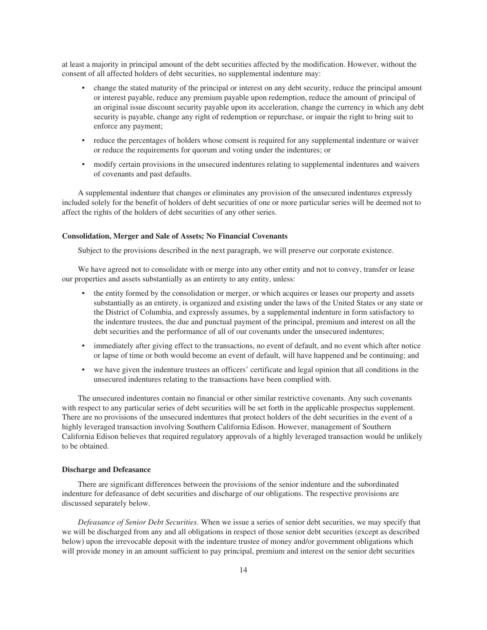at least a majority in principal amount of the debt securities affected by the modification. However, without the consent of all affected holders of debt securities, no supplemental indenture may:

- change the stated maturity of the principal or interest on any debt security, reduce the principal amount or interest payable, reduce any premium payable upon redemption, reduce the amount of principal of an original issue discount security payable upon its acceleration, change the currency in which any debt security is payable, change any right of redemption or repurchase, or impair the right to bring suit to enforce any payment;
- reduce the percentages of holders whose consent is required for any supplemental indenture or waiver or reduce the requirements for quorum and voting under the indentures; or
- modify certain provisions in the unsecured indentures relating to supplemental indentures and waivers of covenants and past defaults.

A supplemental indenture that changes or eliminates any provision of the unsecured indentures expressly included solely for the benefit of holders of debt securities of one or more particular series will be deemed not to affect the rights of the holders of debt securities of any other series.

# **Consolidation, Merger and Sale of Assets; No Financial Covenants**

Subject to the provisions described in the next paragraph, we will preserve our corporate existence.

We have agreed not to consolidate with or merge into any other entity and not to convey, transfer or lease our properties and assets substantially as an entirety to any entity, unless:

- the entity formed by the consolidation or merger, or which acquires or leases our property and assets substantially as an entirety, is organized and existing under the laws of the United States or any state or the District of Columbia, and expressly assumes, by a supplemental indenture in form satisfactory to the indenture trustees, the due and punctual payment of the principal, premium and interest on all the debt securities and the performance of all of our covenants under the unsecured indentures;
- immediately after giving effect to the transactions, no event of default, and no event which after notice or lapse of time or both would become an event of default, will have happened and be continuing; and
- we have given the indenture trustees an officers' certificate and legal opinion that all conditions in the unsecured indentures relating to the transactions have been complied with.

The unsecured indentures contain no financial or other similar restrictive covenants. Any such covenants with respect to any particular series of debt securities will be set forth in the applicable prospectus supplement. There are no provisions of the unsecured indentures that protect holders of the debt securities in the event of a highly leveraged transaction involving Southern California Edison. However, management of Southern California Edison believes that required regulatory approvals of a highly leveraged transaction would be unlikely to be obtained.

# **Discharge and Defeasance**

There are significant differences between the provisions of the senior indenture and the subordinated indenture for defeasance of debt securities and discharge of our obligations. The respective provisions are discussed separately below.

*Defeasance of Senior Debt Securities.* When we issue a series of senior debt securities, we may specify that we will be discharged from any and all obligations in respect of those senior debt securities (except as described below) upon the irrevocable deposit with the indenture trustee of money and/or government obligations which will provide money in an amount sufficient to pay principal, premium and interest on the senior debt securities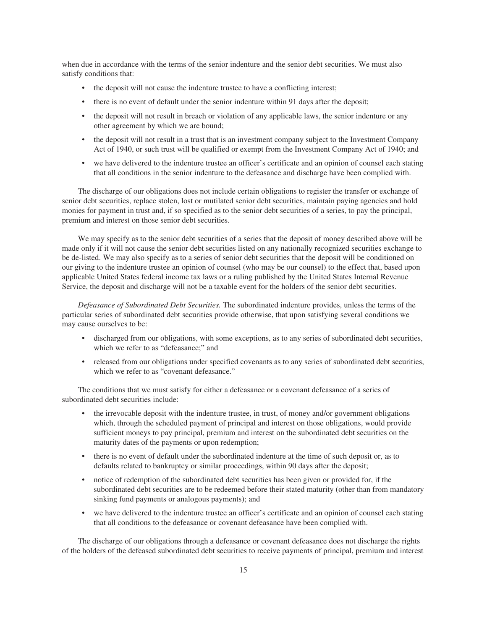when due in accordance with the terms of the senior indenture and the senior debt securities. We must also satisfy conditions that:

- the deposit will not cause the indenture trustee to have a conflicting interest;
- there is no event of default under the senior indenture within 91 days after the deposit;
- the deposit will not result in breach or violation of any applicable laws, the senior indenture or any other agreement by which we are bound;
- the deposit will not result in a trust that is an investment company subject to the Investment Company Act of 1940, or such trust will be qualified or exempt from the Investment Company Act of 1940; and
- we have delivered to the indenture trustee an officer's certificate and an opinion of counsel each stating that all conditions in the senior indenture to the defeasance and discharge have been complied with.

The discharge of our obligations does not include certain obligations to register the transfer or exchange of senior debt securities, replace stolen, lost or mutilated senior debt securities, maintain paying agencies and hold monies for payment in trust and, if so specified as to the senior debt securities of a series, to pay the principal, premium and interest on those senior debt securities.

We may specify as to the senior debt securities of a series that the deposit of money described above will be made only if it will not cause the senior debt securities listed on any nationally recognized securities exchange to be de-listed. We may also specify as to a series of senior debt securities that the deposit will be conditioned on our giving to the indenture trustee an opinion of counsel (who may be our counsel) to the effect that, based upon applicable United States federal income tax laws or a ruling published by the United States Internal Revenue Service, the deposit and discharge will not be a taxable event for the holders of the senior debt securities.

*Defeasance of Subordinated Debt Securities.* The subordinated indenture provides, unless the terms of the particular series of subordinated debt securities provide otherwise, that upon satisfying several conditions we may cause ourselves to be:

- discharged from our obligations, with some exceptions, as to any series of subordinated debt securities, which we refer to as "defeasance;" and
- released from our obligations under specified covenants as to any series of subordinated debt securities, which we refer to as "covenant defeasance."

The conditions that we must satisfy for either a defeasance or a covenant defeasance of a series of subordinated debt securities include:

- the irrevocable deposit with the indenture trustee, in trust, of money and/or government obligations which, through the scheduled payment of principal and interest on those obligations, would provide sufficient moneys to pay principal, premium and interest on the subordinated debt securities on the maturity dates of the payments or upon redemption;
- there is no event of default under the subordinated indenture at the time of such deposit or, as to defaults related to bankruptcy or similar proceedings, within 90 days after the deposit;
- notice of redemption of the subordinated debt securities has been given or provided for, if the subordinated debt securities are to be redeemed before their stated maturity (other than from mandatory sinking fund payments or analogous payments); and
- we have delivered to the indenture trustee an officer's certificate and an opinion of counsel each stating that all conditions to the defeasance or covenant defeasance have been complied with.

The discharge of our obligations through a defeasance or covenant defeasance does not discharge the rights of the holders of the defeased subordinated debt securities to receive payments of principal, premium and interest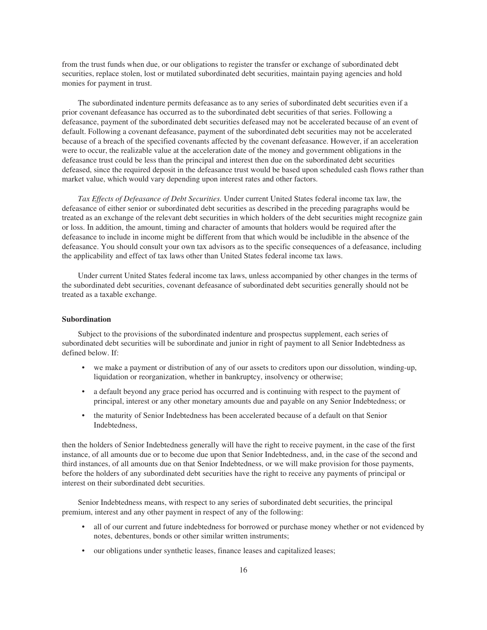from the trust funds when due, or our obligations to register the transfer or exchange of subordinated debt securities, replace stolen, lost or mutilated subordinated debt securities, maintain paying agencies and hold monies for payment in trust.

The subordinated indenture permits defeasance as to any series of subordinated debt securities even if a prior covenant defeasance has occurred as to the subordinated debt securities of that series. Following a defeasance, payment of the subordinated debt securities defeased may not be accelerated because of an event of default. Following a covenant defeasance, payment of the subordinated debt securities may not be accelerated because of a breach of the specified covenants affected by the covenant defeasance. However, if an acceleration were to occur, the realizable value at the acceleration date of the money and government obligations in the defeasance trust could be less than the principal and interest then due on the subordinated debt securities defeased, since the required deposit in the defeasance trust would be based upon scheduled cash flows rather than market value, which would vary depending upon interest rates and other factors.

*Tax Effects of Defeasance of Debt Securities.* Under current United States federal income tax law, the defeasance of either senior or subordinated debt securities as described in the preceding paragraphs would be treated as an exchange of the relevant debt securities in which holders of the debt securities might recognize gain or loss. In addition, the amount, timing and character of amounts that holders would be required after the defeasance to include in income might be different from that which would be includible in the absence of the defeasance. You should consult your own tax advisors as to the specific consequences of a defeasance, including the applicability and effect of tax laws other than United States federal income tax laws.

Under current United States federal income tax laws, unless accompanied by other changes in the terms of the subordinated debt securities, covenant defeasance of subordinated debt securities generally should not be treated as a taxable exchange.

# **Subordination**

Subject to the provisions of the subordinated indenture and prospectus supplement, each series of subordinated debt securities will be subordinate and junior in right of payment to all Senior Indebtedness as defined below. If:

- we make a payment or distribution of any of our assets to creditors upon our dissolution, winding-up, liquidation or reorganization, whether in bankruptcy, insolvency or otherwise;
- a default beyond any grace period has occurred and is continuing with respect to the payment of principal, interest or any other monetary amounts due and payable on any Senior Indebtedness; or
- the maturity of Senior Indebtedness has been accelerated because of a default on that Senior Indebtedness,

then the holders of Senior Indebtedness generally will have the right to receive payment, in the case of the first instance, of all amounts due or to become due upon that Senior Indebtedness, and, in the case of the second and third instances, of all amounts due on that Senior Indebtedness, or we will make provision for those payments, before the holders of any subordinated debt securities have the right to receive any payments of principal or interest on their subordinated debt securities.

Senior Indebtedness means, with respect to any series of subordinated debt securities, the principal premium, interest and any other payment in respect of any of the following:

- all of our current and future indebtedness for borrowed or purchase money whether or not evidenced by notes, debentures, bonds or other similar written instruments;
- our obligations under synthetic leases, finance leases and capitalized leases;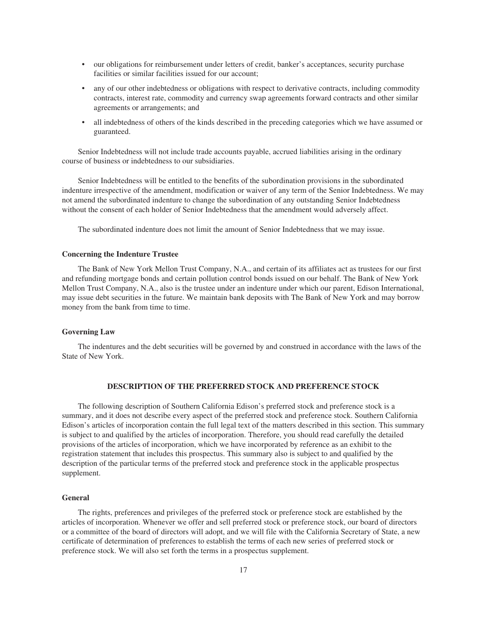- our obligations for reimbursement under letters of credit, banker's acceptances, security purchase facilities or similar facilities issued for our account;
- any of our other indebtedness or obligations with respect to derivative contracts, including commodity contracts, interest rate, commodity and currency swap agreements forward contracts and other similar agreements or arrangements; and
- all indebtedness of others of the kinds described in the preceding categories which we have assumed or guaranteed.

Senior Indebtedness will not include trade accounts payable, accrued liabilities arising in the ordinary course of business or indebtedness to our subsidiaries.

Senior Indebtedness will be entitled to the benefits of the subordination provisions in the subordinated indenture irrespective of the amendment, modification or waiver of any term of the Senior Indebtedness. We may not amend the subordinated indenture to change the subordination of any outstanding Senior Indebtedness without the consent of each holder of Senior Indebtedness that the amendment would adversely affect.

The subordinated indenture does not limit the amount of Senior Indebtedness that we may issue.

# **Concerning the Indenture Trustee**

The Bank of New York Mellon Trust Company, N.A., and certain of its affiliates act as trustees for our first and refunding mortgage bonds and certain pollution control bonds issued on our behalf. The Bank of New York Mellon Trust Company, N.A., also is the trustee under an indenture under which our parent, Edison International, may issue debt securities in the future. We maintain bank deposits with The Bank of New York and may borrow money from the bank from time to time.

# **Governing Law**

The indentures and the debt securities will be governed by and construed in accordance with the laws of the State of New York.

# **DESCRIPTION OF THE PREFERRED STOCK AND PREFERENCE STOCK**

<span id="page-44-0"></span>The following description of Southern California Edison's preferred stock and preference stock is a summary, and it does not describe every aspect of the preferred stock and preference stock. Southern California Edison's articles of incorporation contain the full legal text of the matters described in this section. This summary is subject to and qualified by the articles of incorporation. Therefore, you should read carefully the detailed provisions of the articles of incorporation, which we have incorporated by reference as an exhibit to the registration statement that includes this prospectus. This summary also is subject to and qualified by the description of the particular terms of the preferred stock and preference stock in the applicable prospectus supplement.

# **General**

The rights, preferences and privileges of the preferred stock or preference stock are established by the articles of incorporation. Whenever we offer and sell preferred stock or preference stock, our board of directors or a committee of the board of directors will adopt, and we will file with the California Secretary of State, a new certificate of determination of preferences to establish the terms of each new series of preferred stock or preference stock. We will also set forth the terms in a prospectus supplement.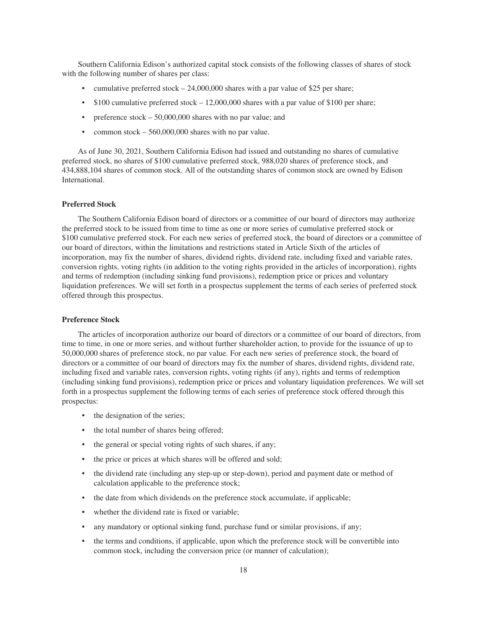Southern California Edison's authorized capital stock consists of the following classes of shares of stock with the following number of shares per class:

- cumulative preferred stock  $-24,000,000$  shares with a par value of \$25 per share;
- $$100$  cumulative preferred stock  $-12,000,000$  shares with a par value of \$100 per share;
- preference  $stock 50,000,000$  shares with no par value; and
- common stock 560,000,000 shares with no par value.

As of June 30, 2021, Southern California Edison had issued and outstanding no shares of cumulative preferred stock, no shares of \$100 cumulative preferred stock, 988,020 shares of preference stock, and 434,888,104 shares of common stock. All of the outstanding shares of common stock are owned by Edison International.

# **Preferred Stock**

The Southern California Edison board of directors or a committee of our board of directors may authorize the preferred stock to be issued from time to time as one or more series of cumulative preferred stock or \$100 cumulative preferred stock. For each new series of preferred stock, the board of directors or a committee of our board of directors, within the limitations and restrictions stated in Article Sixth of the articles of incorporation, may fix the number of shares, dividend rights, dividend rate, including fixed and variable rates, conversion rights, voting rights (in addition to the voting rights provided in the articles of incorporation), rights and terms of redemption (including sinking fund provisions), redemption price or prices and voluntary liquidation preferences. We will set forth in a prospectus supplement the terms of each series of preferred stock offered through this prospectus.

# **Preference Stock**

The articles of incorporation authorize our board of directors or a committee of our board of directors, from time to time, in one or more series, and without further shareholder action, to provide for the issuance of up to 50,000,000 shares of preference stock, no par value. For each new series of preference stock, the board of directors or a committee of our board of directors may fix the number of shares, dividend rights, dividend rate, including fixed and variable rates, conversion rights, voting rights (if any), rights and terms of redemption (including sinking fund provisions), redemption price or prices and voluntary liquidation preferences. We will set forth in a prospectus supplement the following terms of each series of preference stock offered through this prospectus:

- the designation of the series;
- the total number of shares being offered;
- the general or special voting rights of such shares, if any;
- the price or prices at which shares will be offered and sold;
- the dividend rate (including any step-up or step-down), period and payment date or method of calculation applicable to the preference stock;
- the date from which dividends on the preference stock accumulate, if applicable;
- whether the dividend rate is fixed or variable;
- any mandatory or optional sinking fund, purchase fund or similar provisions, if any;
- the terms and conditions, if applicable, upon which the preference stock will be convertible into common stock, including the conversion price (or manner of calculation);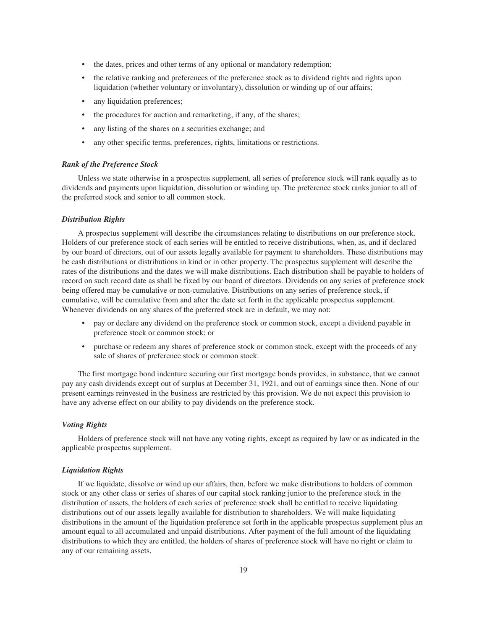- the dates, prices and other terms of any optional or mandatory redemption;
- the relative ranking and preferences of the preference stock as to dividend rights and rights upon liquidation (whether voluntary or involuntary), dissolution or winding up of our affairs;
- any liquidation preferences;
- the procedures for auction and remarketing, if any, of the shares;
- any listing of the shares on a securities exchange; and
- any other specific terms, preferences, rights, limitations or restrictions.

#### *Rank of the Preference Stock*

Unless we state otherwise in a prospectus supplement, all series of preference stock will rank equally as to dividends and payments upon liquidation, dissolution or winding up. The preference stock ranks junior to all of the preferred stock and senior to all common stock.

# *Distribution Rights*

A prospectus supplement will describe the circumstances relating to distributions on our preference stock. Holders of our preference stock of each series will be entitled to receive distributions, when, as, and if declared by our board of directors, out of our assets legally available for payment to shareholders. These distributions may be cash distributions or distributions in kind or in other property. The prospectus supplement will describe the rates of the distributions and the dates we will make distributions. Each distribution shall be payable to holders of record on such record date as shall be fixed by our board of directors. Dividends on any series of preference stock being offered may be cumulative or non-cumulative. Distributions on any series of preference stock, if cumulative, will be cumulative from and after the date set forth in the applicable prospectus supplement. Whenever dividends on any shares of the preferred stock are in default, we may not:

- pay or declare any dividend on the preference stock or common stock, except a dividend payable in preference stock or common stock; or
- purchase or redeem any shares of preference stock or common stock, except with the proceeds of any sale of shares of preference stock or common stock.

The first mortgage bond indenture securing our first mortgage bonds provides, in substance, that we cannot pay any cash dividends except out of surplus at December 31, 1921, and out of earnings since then. None of our present earnings reinvested in the business are restricted by this provision. We do not expect this provision to have any adverse effect on our ability to pay dividends on the preference stock.

# *Voting Rights*

Holders of preference stock will not have any voting rights, except as required by law or as indicated in the applicable prospectus supplement.

#### *Liquidation Rights*

If we liquidate, dissolve or wind up our affairs, then, before we make distributions to holders of common stock or any other class or series of shares of our capital stock ranking junior to the preference stock in the distribution of assets, the holders of each series of preference stock shall be entitled to receive liquidating distributions out of our assets legally available for distribution to shareholders. We will make liquidating distributions in the amount of the liquidation preference set forth in the applicable prospectus supplement plus an amount equal to all accumulated and unpaid distributions. After payment of the full amount of the liquidating distributions to which they are entitled, the holders of shares of preference stock will have no right or claim to any of our remaining assets.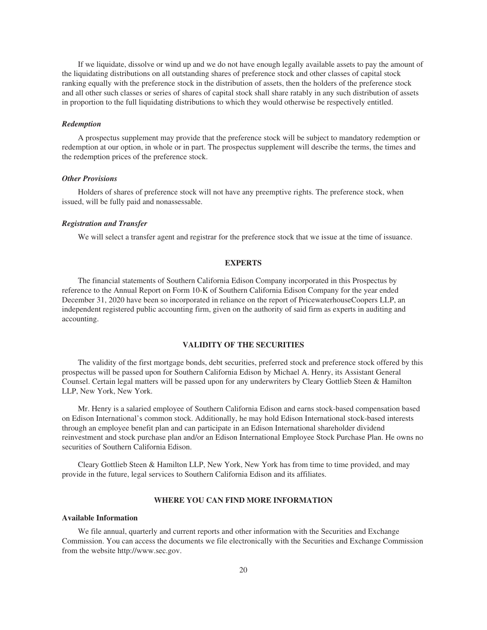If we liquidate, dissolve or wind up and we do not have enough legally available assets to pay the amount of the liquidating distributions on all outstanding shares of preference stock and other classes of capital stock ranking equally with the preference stock in the distribution of assets, then the holders of the preference stock and all other such classes or series of shares of capital stock shall share ratably in any such distribution of assets in proportion to the full liquidating distributions to which they would otherwise be respectively entitled.

#### *Redemption*

A prospectus supplement may provide that the preference stock will be subject to mandatory redemption or redemption at our option, in whole or in part. The prospectus supplement will describe the terms, the times and the redemption prices of the preference stock.

# *Other Provisions*

Holders of shares of preference stock will not have any preemptive rights. The preference stock, when issued, will be fully paid and nonassessable.

# *Registration and Transfer*

We will select a transfer agent and registrar for the preference stock that we issue at the time of issuance.

# **EXPERTS**

<span id="page-47-0"></span>The financial statements of Southern California Edison Company incorporated in this Prospectus by reference to the Annual Report on Form 10-K of Southern California Edison Company for the year ended December 31, 2020 have been so incorporated in reliance on the report of PricewaterhouseCoopers LLP, an independent registered public accounting firm, given on the authority of said firm as experts in auditing and accounting.

# **VALIDITY OF THE SECURITIES**

<span id="page-47-1"></span>The validity of the first mortgage bonds, debt securities, preferred stock and preference stock offered by this prospectus will be passed upon for Southern California Edison by Michael A. Henry, its Assistant General Counsel. Certain legal matters will be passed upon for any underwriters by Cleary Gottlieb Steen & Hamilton LLP, New York, New York.

Mr. Henry is a salaried employee of Southern California Edison and earns stock-based compensation based on Edison International's common stock. Additionally, he may hold Edison International stock-based interests through an employee benefit plan and can participate in an Edison International shareholder dividend reinvestment and stock purchase plan and/or an Edison International Employee Stock Purchase Plan. He owns no securities of Southern California Edison.

Cleary Gottlieb Steen & Hamilton LLP, New York, New York has from time to time provided, and may provide in the future, legal services to Southern California Edison and its affiliates.

# **WHERE YOU CAN FIND MORE INFORMATION**

#### <span id="page-47-2"></span>**Available Information**

We file annual, quarterly and current reports and other information with the Securities and Exchange Commission. You can access the documents we file electronically with the Securities and Exchange Commission from the website http://www.sec.gov.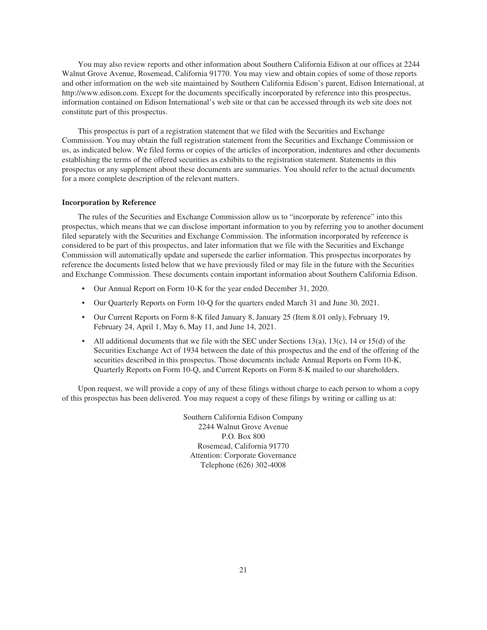You may also review reports and other information about Southern California Edison at our offices at 2244 Walnut Grove Avenue, Rosemead, California 91770. You may view and obtain copies of some of those reports and other information on the web site maintained by Southern California Edison's parent, Edison International, at http://www.edison.com. Except for the documents specifically incorporated by reference into this prospectus, information contained on Edison International's web site or that can be accessed through its web site does not constitute part of this prospectus.

This prospectus is part of a registration statement that we filed with the Securities and Exchange Commission. You may obtain the full registration statement from the Securities and Exchange Commission or us, as indicated below. We filed forms or copies of the articles of incorporation, indentures and other documents establishing the terms of the offered securities as exhibits to the registration statement. Statements in this prospectus or any supplement about these documents are summaries. You should refer to the actual documents for a more complete description of the relevant matters.

# **Incorporation by Reference**

The rules of the Securities and Exchange Commission allow us to "incorporate by reference" into this prospectus, which means that we can disclose important information to you by referring you to another document filed separately with the Securities and Exchange Commission. The information incorporated by reference is considered to be part of this prospectus, and later information that we file with the Securities and Exchange Commission will automatically update and supersede the earlier information. This prospectus incorporates by reference the documents listed below that we have previously filed or may file in the future with the Securities and Exchange Commission. These documents contain important information about Southern California Edison.

- Our Annual Report on [Form 10-K](https://www.sec.gov/ix?doc=/Archives/edgar/data/92103/000082705221000019/eix-20201231.htm) for the year ended December 31, 2020.
- Our Quarterly Reports on Form 10-Q for the quarters ended [March 31](https://www.sec.gov/ix?doc=/Archives/edgar/data/92103/000082705221000033/eix-20210331x10q.htm) and [June 30, 2021](https://www.sec.gov/ix?doc=/Archives/edgar/data/92103/000082705221000051/eix-20210630x10q.htm).
- Our Current Reports on Form 8-K filed [January 8](https://www.sec.gov/ix?doc=/Archives/edgar/data/92103/000009210321000004/sce-20210105x8k.htm), [January 25](https://www.sec.gov/ix?doc=/Archives/edgar/data/92103/000082705221000004/eix-20210122.htm) (Item 8.01 only), [February 19](https://www.sec.gov/Archives/edgar/data/92103/000119312521048823/d102106d8k.htm), [February 24,](https://www.sec.gov/Archives/edgar/data/92103/000119312521054625/d144257d8k.htm) [April 1](https://www.sec.gov/ix?doc=/Archives/edgar/data/92103/000009210321000007/sce-20210324x8k.htm), [May 6](https://www.sec.gov/ix?doc=/Archives/edgar/data/92103/000082705221000040/eix-20210430x8k.htm), [May 11](https://www.sec.gov/ix?doc=/Archives/edgar/data/92103/000009210321000011/sce-20210510x8k.htm), and [June 14, 2021.](https://www.sec.gov/ix?doc=/Archives/edgar/data/92103/000009210321000014/sce-20210609x8k.htm)
- All additional documents that we file with the SEC under Sections 13(a), 13(c), 14 or 15(d) of the Securities Exchange Act of 1934 between the date of this prospectus and the end of the offering of the securities described in this prospectus. Those documents include Annual Reports on Form 10-K, Quarterly Reports on Form 10-Q, and Current Reports on Form 8-K mailed to our shareholders.

Upon request, we will provide a copy of any of these filings without charge to each person to whom a copy of this prospectus has been delivered. You may request a copy of these filings by writing or calling us at:

> Southern California Edison Company 2244 Walnut Grove Avenue P.O. Box 800 Rosemead, California 91770 Attention: Corporate Governance Telephone (626) 302-4008